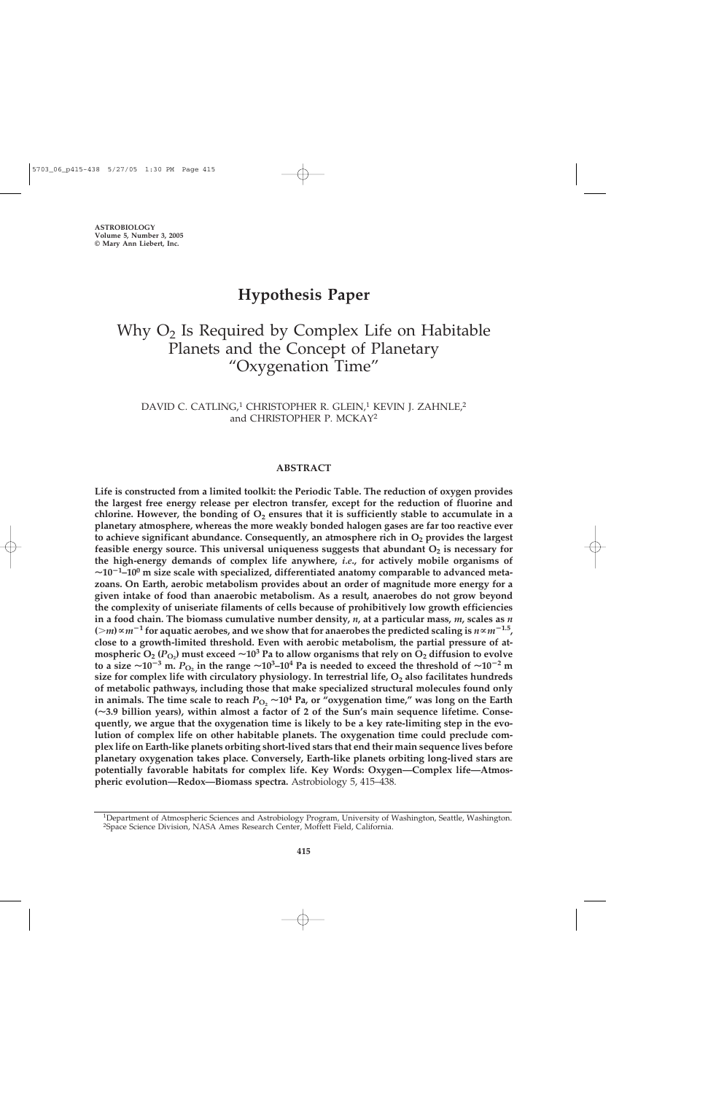# **Hypothesis Paper**

# Why  $O<sub>2</sub>$  Is Required by Complex Life on Habitable Planets and the Concept of Planetary "Oxygenation Time"

DAVID C. CATLING,<sup>1</sup> CHRISTOPHER R. GLEIN,<sup>1</sup> KEVIN J. ZAHNLE,<sup>2</sup> and CHRISTOPHER P. MCKAY2

## **ABSTRACT**

**Life is constructed from a limited toolkit: the Periodic Table. The reduction of oxygen provides the largest free energy release per electron transfer, except for the reduction of fluorine and** chlorine. However, the bonding of  $O_2$  ensures that it is sufficiently stable to accumulate in a **planetary atmosphere, whereas the more weakly bonded halogen gases are far too reactive ever** to achieve significant abundance. Consequently, an atmosphere rich in O<sub>2</sub> provides the largest **feasible energy source. This universal uniqueness suggests that abundant O<sub>2</sub> is necessary for the high-energy demands of complex life anywhere,** *i.e***., for actively mobile organisms of**  $\sim$ 10<sup>-1</sup>-10<sup>0</sup> m size scale with specialized, differentiated anatomy comparable to advanced meta**zoans. On Earth, aerobic metabolism provides about an order of magnitude more energy for a given intake of food than anaerobic metabolism. As a result, anaerobes do not grow beyond the complexity of uniseriate filaments of cells because of prohibitively low growth efficiencies in a food chain. The biomass cumulative number density,** *n***, at a particular mass,** *m***, scales as** *n*  $(m) \propto m^{-1}$  for aquatic aerobes, and we show that for anaerobes the predicted scaling is  $n \propto m^{-1.5}$ , **close to a growth-limited threshold. Even with aerobic metabolism, the partial pressure of atmospheric**  $O_2$  **(** $P_{O_2}$ **) must exceed**  $\sim$  **10<sup>3</sup> Pa to allow organisms that rely on**  $O_2$  **diffusion to evolve to a size**  $\sim$ 10<sup>-3</sup> **m.**  $P_{\text{O}_2}$  in the range  $\sim$ 10<sup>3</sup>-10<sup>4</sup> Pa is needed to exceed the threshold of  $\sim$ 10<sup>-2</sup> m size for complex life with circulatory physiology. In terrestrial life, O<sub>2</sub> also facilitates hundreds **of metabolic pathways, including those that make specialized structural molecules found only** in animals. The time scale to reach  $P_{O_2} \sim 10^4$  Pa, or "oxygenation time," was long on the Earth **(3.9 billion years), within almost a factor of 2 of the Sun's main sequence lifetime. Consequently, we argue that the oxygenation time is likely to be a key rate-limiting step in the evolution of complex life on other habitable planets. The oxygenation time could preclude complex life on Earth-like planets orbiting short-lived stars that end their main sequence lives before planetary oxygenation takes place. Conversely, Earth-like planets orbiting long-lived stars are potentially favorable habitats for complex life. Key Words: Oxygen—Complex life—Atmospheric evolution—Redox—Biomass spectra.** Astrobiology 5, 415–438.

<sup>1</sup>Department of Atmospheric Sciences and Astrobiology Program, University of Washington, Seattle, Washington. 2Space Science Division, NASA Ames Research Center, Moffett Field, California.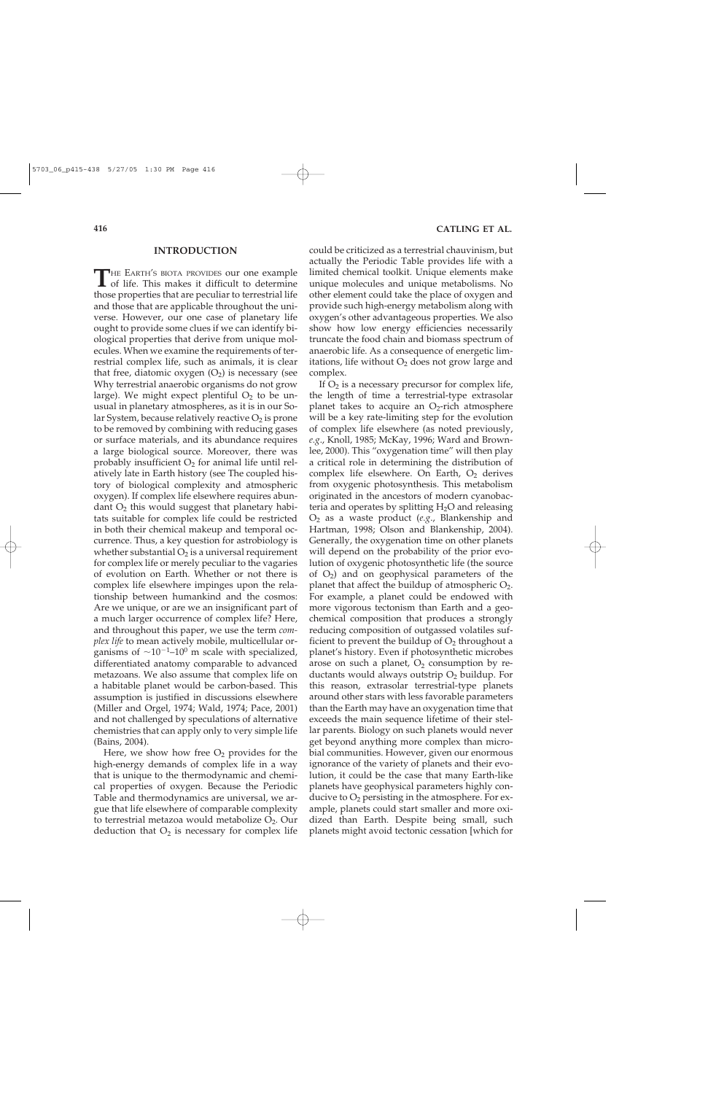#### **INTRODUCTION**

THE EARTH'S BIOTA PROVIDES our one example<br>of life. This makes it difficult to determine of life. This makes it difficult to determine those properties that are peculiar to terrestrial life and those that are applicable throughout the universe. However, our one case of planetary life ought to provide some clues if we can identify biological properties that derive from unique molecules. When we examine the requirements of terrestrial complex life, such as animals, it is clear that free, diatomic oxygen  $(O_2)$  is necessary (see Why terrestrial anaerobic organisms do not grow large). We might expect plentiful  $O<sub>2</sub>$  to be unusual in planetary atmospheres, as it is in our Solar System, because relatively reactive  $O_2$  is prone to be removed by combining with reducing gases or surface materials, and its abundance requires a large biological source. Moreover, there was probably insufficient  $O_2$  for animal life until relatively late in Earth history (see The coupled history of biological complexity and atmospheric oxygen). If complex life elsewhere requires abundant  $O_2$  this would suggest that planetary habitats suitable for complex life could be restricted in both their chemical makeup and temporal occurrence. Thus, a key question for astrobiology is whether substantial  $O_2$  is a universal requirement for complex life or merely peculiar to the vagaries of evolution on Earth. Whether or not there is complex life elsewhere impinges upon the relationship between humankind and the cosmos: Are we unique, or are we an insignificant part of a much larger occurrence of complex life? Here, and throughout this paper, we use the term *complex life* to mean actively mobile, multicellular organisms of  $\sim$ 10<sup>-1</sup>-10<sup>0</sup> m scale with specialized, differentiated anatomy comparable to advanced metazoans. We also assume that complex life on a habitable planet would be carbon-based. This assumption is justified in discussions elsewhere (Miller and Orgel, 1974; Wald, 1974; Pace, 2001) and not challenged by speculations of alternative chemistries that can apply only to very simple life (Bains, 2004).

Here, we show how free  $O_2$  provides for the high-energy demands of complex life in a way that is unique to the thermodynamic and chemical properties of oxygen. Because the Periodic Table and thermodynamics are universal, we argue that life elsewhere of comparable complexity to terrestrial metazoa would metabolize O2. Our deduction that  $O_2$  is necessary for complex life

could be criticized as a terrestrial chauvinism, but actually the Periodic Table provides life with a limited chemical toolkit. Unique elements make unique molecules and unique metabolisms. No other element could take the place of oxygen and provide such high-energy metabolism along with oxygen's other advantageous properties. We also show how low energy efficiencies necessarily truncate the food chain and biomass spectrum of anaerobic life. As a consequence of energetic limitations, life without  $O_2$  does not grow large and complex.

If  $O<sub>2</sub>$  is a necessary precursor for complex life, the length of time a terrestrial-type extrasolar planet takes to acquire an  $O<sub>2</sub>$ -rich atmosphere will be a key rate-limiting step for the evolution of complex life elsewhere (as noted previously, *e.g*., Knoll, 1985; McKay, 1996; Ward and Brownlee, 2000). This "oxygenation time" will then play a critical role in determining the distribution of complex life elsewhere. On Earth,  $O<sub>2</sub>$  derives from oxygenic photosynthesis. This metabolism originated in the ancestors of modern cyanobacteria and operates by splitting  $H_2O$  and releasing O2 as a waste product (*e.g*., Blankenship and Hartman, 1998; Olson and Blankenship, 2004). Generally, the oxygenation time on other planets will depend on the probability of the prior evolution of oxygenic photosynthetic life (the source of  $O_2$ ) and on geophysical parameters of the planet that affect the buildup of atmospheric  $O_2$ . For example, a planet could be endowed with more vigorous tectonism than Earth and a geochemical composition that produces a strongly reducing composition of outgassed volatiles sufficient to prevent the buildup of  $O_2$  throughout a planet's history. Even if photosynthetic microbes arose on such a planet,  $O_2$  consumption by reductants would always outstrip  $O<sub>2</sub>$  buildup. For this reason, extrasolar terrestrial-type planets around other stars with less favorable parameters than the Earth may have an oxygenation time that exceeds the main sequence lifetime of their stellar parents. Biology on such planets would never get beyond anything more complex than microbial communities. However, given our enormous ignorance of the variety of planets and their evolution, it could be the case that many Earth-like planets have geophysical parameters highly conducive to  $O_2$  persisting in the atmosphere. For example, planets could start smaller and more oxidized than Earth. Despite being small, such planets might avoid tectonic cessation [which for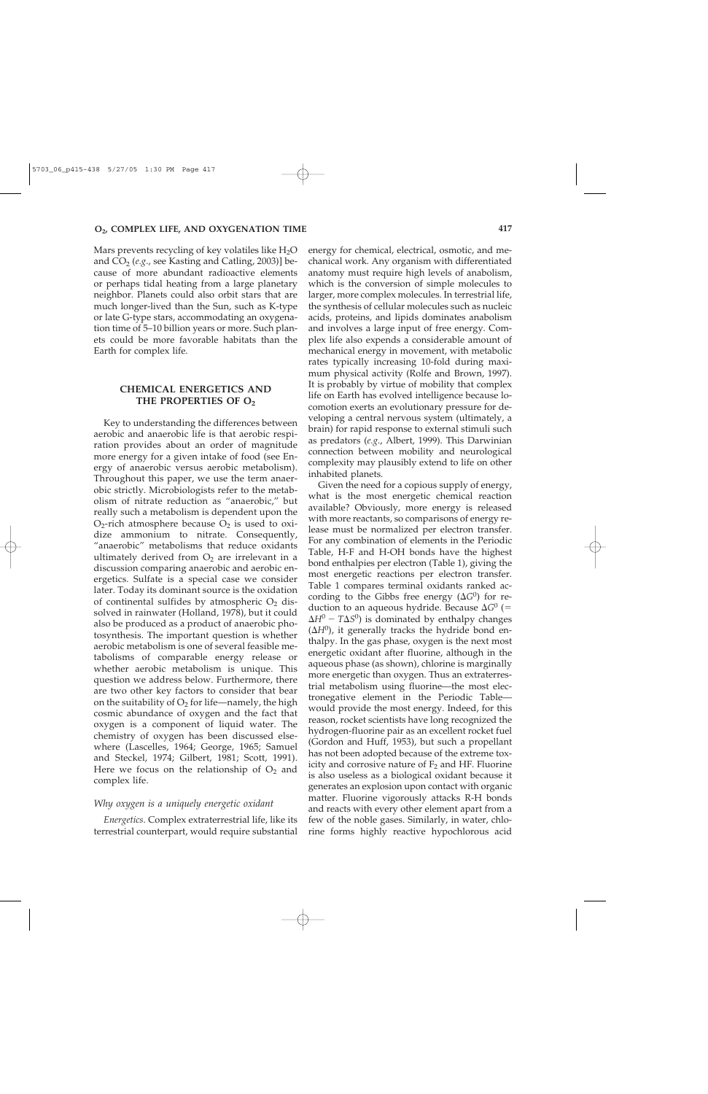Mars prevents recycling of key volatiles like  $H_2O$ and  $CO<sub>2</sub>$  (*e.g.*, see Kasting and Catling, 2003)] because of more abundant radioactive elements or perhaps tidal heating from a large planetary neighbor. Planets could also orbit stars that are much longer-lived than the Sun, such as K-type or late G-type stars, accommodating an oxygenation time of 5–10 billion years or more. Such planets could be more favorable habitats than the Earth for complex life.

# **CHEMICAL ENERGETICS AND THE PROPERTIES OF O2**

Key to understanding the differences between aerobic and anaerobic life is that aerobic respiration provides about an order of magnitude more energy for a given intake of food (see Energy of anaerobic versus aerobic metabolism). Throughout this paper, we use the term anaerobic strictly. Microbiologists refer to the metabolism of nitrate reduction as "anaerobic," but really such a metabolism is dependent upon the  $O_2$ -rich atmosphere because  $O_2$  is used to oxidize ammonium to nitrate. Consequently, "anaerobic" metabolisms that reduce oxidants ultimately derived from  $O_2$  are irrelevant in a discussion comparing anaerobic and aerobic energetics. Sulfate is a special case we consider later. Today its dominant source is the oxidation of continental sulfides by atmospheric  $O_2$  dissolved in rainwater (Holland, 1978), but it could also be produced as a product of anaerobic photosynthesis. The important question is whether aerobic metabolism is one of several feasible metabolisms of comparable energy release or whether aerobic metabolism is unique. This question we address below. Furthermore, there are two other key factors to consider that bear on the suitability of  $O_2$  for life—namely, the high cosmic abundance of oxygen and the fact that oxygen is a component of liquid water. The chemistry of oxygen has been discussed elsewhere (Lascelles, 1964; George, 1965; Samuel and Steckel, 1974; Gilbert, 1981; Scott, 1991). Here we focus on the relationship of  $O<sub>2</sub>$  and complex life.

## *Why oxygen is a uniquely energetic oxidant*

*Energetics*. Complex extraterrestrial life, like its terrestrial counterpart, would require substantial

energy for chemical, electrical, osmotic, and mechanical work. Any organism with differentiated anatomy must require high levels of anabolism, which is the conversion of simple molecules to larger, more complex molecules. In terrestrial life, the synthesis of cellular molecules such as nucleic acids, proteins, and lipids dominates anabolism and involves a large input of free energy. Complex life also expends a considerable amount of mechanical energy in movement, with metabolic rates typically increasing 10-fold during maximum physical activity (Rolfe and Brown, 1997). It is probably by virtue of mobility that complex life on Earth has evolved intelligence because locomotion exerts an evolutionary pressure for developing a central nervous system (ultimately, a brain) for rapid response to external stimuli such as predators (*e.g*., Albert, 1999). This Darwinian connection between mobility and neurological complexity may plausibly extend to life on other inhabited planets.

Given the need for a copious supply of energy, what is the most energetic chemical reaction available? Obviously, more energy is released with more reactants, so comparisons of energy release must be normalized per electron transfer. For any combination of elements in the Periodic Table, H-F and H-OH bonds have the highest bond enthalpies per electron (Table 1), giving the most energetic reactions per electron transfer. Table 1 compares terminal oxidants ranked according to the Gibbs free energy  $(\Delta G^0)$  for reduction to an aqueous hydride. Because  $\Delta G^0$  (=  $\Delta H^0$  –  $T\Delta S^0$ ) is dominated by enthalpy changes  $(\Delta H^0)$ , it generally tracks the hydride bond enthalpy. In the gas phase, oxygen is the next most energetic oxidant after fluorine, although in the aqueous phase (as shown), chlorine is marginally more energetic than oxygen. Thus an extraterrestrial metabolism using fluorine—the most electronegative element in the Periodic Table would provide the most energy. Indeed, for this reason, rocket scientists have long recognized the hydrogen-fluorine pair as an excellent rocket fuel (Gordon and Huff, 1953), but such a propellant has not been adopted because of the extreme toxicity and corrosive nature of  $F_2$  and HF. Fluorine is also useless as a biological oxidant because it generates an explosion upon contact with organic matter. Fluorine vigorously attacks R-H bonds and reacts with every other element apart from a few of the noble gases. Similarly, in water, chlorine forms highly reactive hypochlorous acid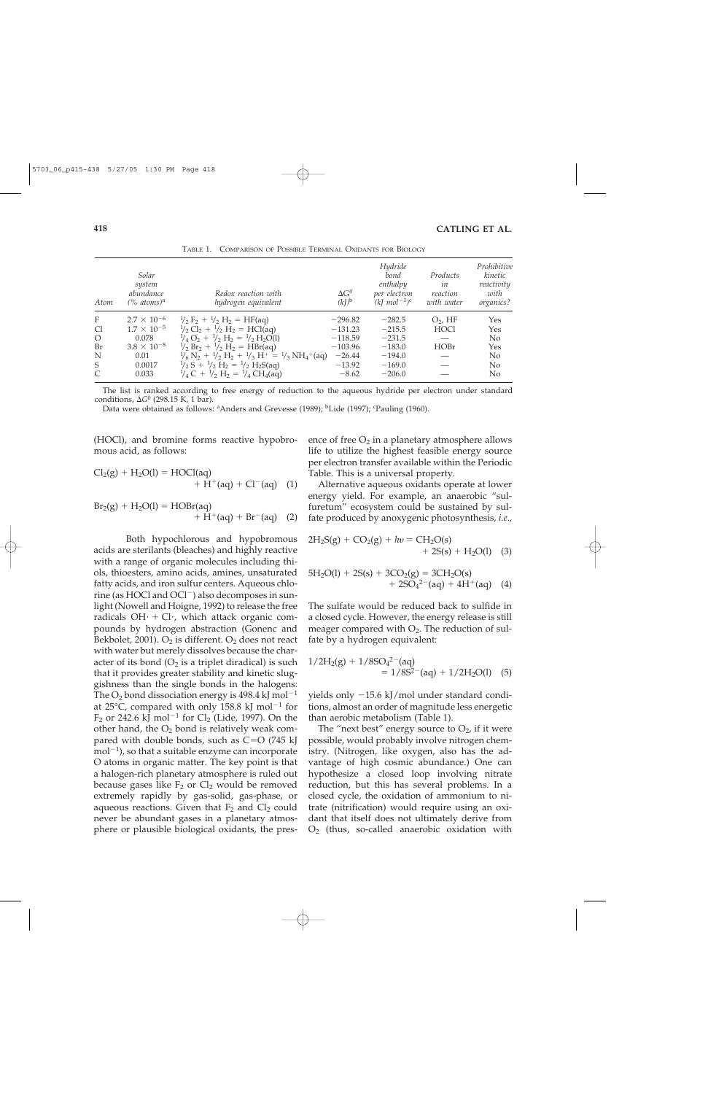| Atom             | Solar<br>system<br>abundance<br>$(\%$ atoms) <sup>a</sup> | Redox reaction with<br>hydrogen equivalent                                                                                                   | $\Delta G^0$<br>$(kJ)$ <sup>b</sup> | Hydride<br>bond<br>enthalpy<br>per electron<br>$(kImol^{-1})^c$ | Products<br>in<br>reaction<br>with water | Prohibitive<br>kinetic<br>reactivity<br>with<br>organics? |
|------------------|-----------------------------------------------------------|----------------------------------------------------------------------------------------------------------------------------------------------|-------------------------------------|-----------------------------------------------------------------|------------------------------------------|-----------------------------------------------------------|
| $\boldsymbol{F}$ | $2.7 \times 10^{-6}$                                      | $\frac{1}{2}F_2 + \frac{1}{2}H_2 = HF(aq)$                                                                                                   | $-296.82$                           | $-282.5$                                                        | $O2$ , HF                                | Yes                                                       |
| C <sub>1</sub>   | $1.7 \times 10^{-5}$                                      | $\frac{1}{2}$ Cl <sub>2</sub> + $\frac{1}{2}$ H <sub>2</sub> = HCl(aq)                                                                       | $-131.23$                           | $-215.5$                                                        | <b>HOCl</b>                              | Yes                                                       |
| $\circ$          | 0.078                                                     | $\frac{1}{4}O_2 + \frac{1}{2}H_2 = \frac{1}{2}H_2O(1)$                                                                                       | $-118.59$                           | $-231.5$                                                        |                                          | N <sub>0</sub>                                            |
| Br               | $3.8 \times 10^{-8}$                                      | $\frac{1}{2}$ Br <sub>2</sub> + $\frac{1}{2}$ H <sub>2</sub> = HBr(aq)                                                                       | $-103.96$                           | $-183.0$                                                        | <b>HOBr</b>                              | Yes                                                       |
| N                | 0.01                                                      | $\frac{1}{6}$ N <sub>2</sub> + $\frac{1}{2}$ H <sub>2</sub> + $\frac{1}{3}$ H <sup>+</sup> = $\frac{1}{3}$ NH <sub>4</sub> <sup>+</sup> (aq) | $-26.44$                            | $-194.0$                                                        |                                          | N <sub>0</sub>                                            |
| S                | 0.0017                                                    | $\frac{1}{2}S + \frac{1}{2}H_2 = \frac{1}{2}H_2S(aq)$                                                                                        | $-13.92$                            | $-169.0$                                                        |                                          | N <sub>0</sub>                                            |
| C                | 0.033                                                     | $\frac{1}{4}C + \frac{1}{2}H_2 = \frac{1}{4}CH_4(aq)$                                                                                        | $-8.62$                             | $-206.0$                                                        |                                          | N <sub>0</sub>                                            |

TABLE 1. COMPARISON OF POSSIBLE TERMINAL OXIDANTS FOR BIOLOGY

The list is ranked according to free energy of reduction to the aqueous hydride per electron under standard conditions, *G*<sup>0</sup> (298.15 K, 1 bar).

Data were obtained as follows: <sup>a</sup>Anders and Grevesse (1989); <sup>b</sup>Lide (1997); <sup>c</sup>Pauling (1960).

(HOCl), and bromine forms reactive hypobromous acid, as follows:

$$
Cl2(g) + H2O(l) = HOCl(aq) + H+(aq) + Cl-(aq)
$$
 (1)

$$
Br_2(g) + H_2O(l) = HOBr(aq) + H^+(aq) + Br^-(aq)
$$
 (2)

Both hypochlorous and hypobromous acids are sterilants (bleaches) and highly reactive with a range of organic molecules including thiols, thioesters, amino acids, amines, unsaturated fatty acids, and iron sulfur centers. Aqueous chlorine (as HOCl and OCl<sup>-</sup>) also decomposes in sunlight (Nowell and Hoigne, 1992) to release the free radicals  $OH· + Cl·$ , which attack organic compounds by hydrogen abstraction (Gonenc and Bekbolet, 2001).  $O_2$  is different.  $O_2$  does not react with water but merely dissolves because the character of its bond  $(O_2$  is a triplet diradical) is such that it provides greater stability and kinetic sluggishness than the single bonds in the halogens: The  $O_2$  bond dissociation energy is 498.4 kJ mol<sup>-1</sup> at 25 $\degree$ C, compared with only 158.8 kJ mol<sup>-1</sup> for  $F_2$  or 242.6 kJ mol<sup>-1</sup> for Cl<sub>2</sub> (Lide, 1997). On the other hand, the  $O_2$  bond is relatively weak compared with double bonds, such as  $C=O(745 \text{ kJ})$  $\text{mol}^{-1}$ ), so that a suitable enzyme can incorporate O atoms in organic matter. The key point is that a halogen-rich planetary atmosphere is ruled out because gases like  $F_2$  or  $Cl_2$  would be removed extremely rapidly by gas-solid, gas-phase, or aqueous reactions. Given that  $F_2$  and  $Cl_2$  could never be abundant gases in a planetary atmosphere or plausible biological oxidants, the presence of free  $O_2$  in a planetary atmosphere allows life to utilize the highest feasible energy source per electron transfer available within the Periodic Table. This is a universal property.

Alternative aqueous oxidants operate at lower energy yield. For example, an anaerobic "sulfuretum" ecosystem could be sustained by sulfate produced by anoxygenic photosynthesis, *i.e*.,

$$
2H_2S(g) + CO_2(g) + hv = CH_2O(s)
$$
  
+ 2S(s) + H\_2O(l) (3)

$$
5H2O(l) + 2S(s) + 3CO2(g) = 3CH2O(s)+ 2SO42 – (aq) + 4H+(aq) (4)
$$

The sulfate would be reduced back to sulfide in a closed cycle. However, the energy release is still meager compared with  $O_2$ . The reduction of sulfate by a hydrogen equivalent:

$$
1/2H_2(g) + 1/8SO_4^{2-}(aq)
$$
  
= 1/8S<sup>2-</sup>(aq) + 1/2H<sub>2</sub>O(l) (5)

yields only -15.6 kJ/mol under standard conditions, almost an order of magnitude less energetic than aerobic metabolism (Table 1).

The "next best" energy source to  $O_2$ , if it were possible, would probably involve nitrogen chemistry. (Nitrogen, like oxygen, also has the advantage of high cosmic abundance.) One can hypothesize a closed loop involving nitrate reduction, but this has several problems. In a closed cycle, the oxidation of ammonium to nitrate (nitrification) would require using an oxidant that itself does not ultimately derive from  $O<sub>2</sub>$  (thus, so-called anaerobic oxidation with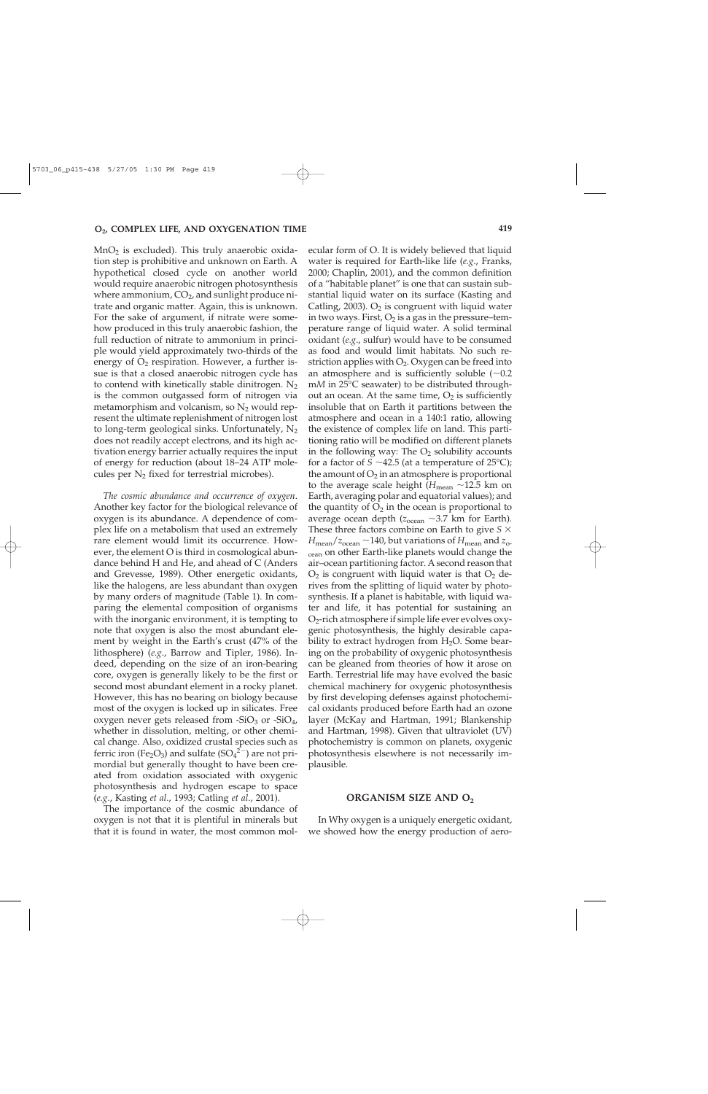MnO2 is excluded). This truly anaerobic oxidation step is prohibitive and unknown on Earth. A hypothetical closed cycle on another world would require anaerobic nitrogen photosynthesis where ammonium,  $CO<sub>2</sub>$ , and sunlight produce nitrate and organic matter. Again, this is unknown. For the sake of argument, if nitrate were somehow produced in this truly anaerobic fashion, the full reduction of nitrate to ammonium in principle would yield approximately two-thirds of the energy of  $O_2$  respiration. However, a further issue is that a closed anaerobic nitrogen cycle has to contend with kinetically stable dinitrogen.  $N_2$ is the common outgassed form of nitrogen via metamorphism and volcanism, so  $N_2$  would represent the ultimate replenishment of nitrogen lost to long-term geological sinks. Unfortunately,  $N_2$ does not readily accept electrons, and its high activation energy barrier actually requires the input of energy for reduction (about 18–24 ATP molecules per  $N_2$  fixed for terrestrial microbes).

*The cosmic abundance and occurrence of oxygen*. Another key factor for the biological relevance of oxygen is its abundance. A dependence of complex life on a metabolism that used an extremely rare element would limit its occurrence. However, the element O is third in cosmological abundance behind H and He, and ahead of C (Anders and Grevesse, 1989). Other energetic oxidants, like the halogens, are less abundant than oxygen by many orders of magnitude (Table 1). In comparing the elemental composition of organisms with the inorganic environment, it is tempting to note that oxygen is also the most abundant element by weight in the Earth's crust (47% of the lithosphere) (*e.g*., Barrow and Tipler, 1986). Indeed, depending on the size of an iron-bearing core, oxygen is generally likely to be the first or second most abundant element in a rocky planet. However, this has no bearing on biology because most of the oxygen is locked up in silicates. Free oxygen never gets released from  $-SiO<sub>3</sub>$  or  $-SiO<sub>4</sub>$ , whether in dissolution, melting, or other chemical change. Also, oxidized crustal species such as ferric iron (Fe<sub>2</sub>O<sub>3</sub>) and sulfate (SO<sub>4</sub><sup>2</sup><sup>-</sup>) are not primordial but generally thought to have been created from oxidation associated with oxygenic photosynthesis and hydrogen escape to space (*e.g*., Kasting *et al*., 1993; Catling *et al*., 2001).

The importance of the cosmic abundance of oxygen is not that it is plentiful in minerals but that it is found in water, the most common molecular form of O. It is widely believed that liquid water is required for Earth-like life (*e.g*., Franks, 2000; Chaplin, 2001), and the common definition of a "habitable planet" is one that can sustain substantial liquid water on its surface (Kasting and Catling, 2003).  $O_2$  is congruent with liquid water in two ways. First,  $O_2$  is a gas in the pressure–temperature range of liquid water. A solid terminal oxidant (*e.g*., sulfur) would have to be consumed as food and would limit habitats. No such restriction applies with  $O_2$ . Oxygen can be freed into an atmosphere and is sufficiently soluble  $(\sim 0.2)$ m*M* in 25°C seawater) to be distributed throughout an ocean. At the same time,  $O_2$  is sufficiently insoluble that on Earth it partitions between the atmosphere and ocean in a 140:1 ratio, allowing the existence of complex life on land. This partitioning ratio will be modified on different planets in the following way: The  $O_2$  solubility accounts for a factor of  $S \sim 42.5$  (at a temperature of 25<sup>o</sup>C); the amount of  $O_2$  in an atmosphere is proportional to the average scale height ( $H_{\text{mean}} \sim 12.5$  km on Earth, averaging polar and equatorial values); and the quantity of  $O_2$  in the ocean is proportional to average ocean depth ( $z_{ocean} \sim 3.7$  km for Earth). These three factors combine on Earth to give *S*  $H_{\text{mean}}/z_{\text{ocean}} \sim 140$ , but variations of  $H_{\text{mean}}$  and  $z_{\text{o}}$ -<sub>cean</sub> on other Earth-like planets would change the air–ocean partitioning factor. A second reason that  $O<sub>2</sub>$  is congruent with liquid water is that  $O<sub>2</sub>$  derives from the splitting of liquid water by photosynthesis. If a planet is habitable, with liquid water and life, it has potential for sustaining an  $O<sub>2</sub>$ -rich atmosphere if simple life ever evolves oxygenic photosynthesis, the highly desirable capability to extract hydrogen from  $H_2O$ . Some bearing on the probability of oxygenic photosynthesis can be gleaned from theories of how it arose on Earth. Terrestrial life may have evolved the basic chemical machinery for oxygenic photosynthesis by first developing defenses against photochemical oxidants produced before Earth had an ozone layer (McKay and Hartman, 1991; Blankenship and Hartman, 1998). Given that ultraviolet (UV) photochemistry is common on planets, oxygenic photosynthesis elsewhere is not necessarily implausible.

#### **ORGANISM SIZE AND O2**

In Why oxygen is a uniquely energetic oxidant, we showed how the energy production of aero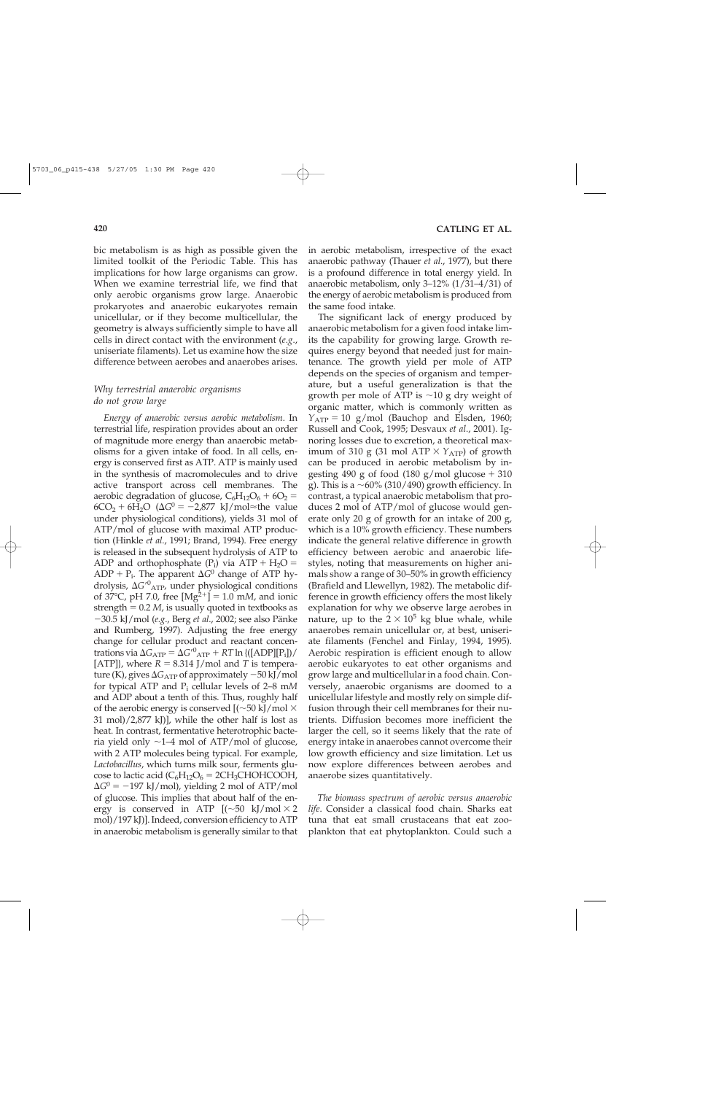bic metabolism is as high as possible given the limited toolkit of the Periodic Table. This has implications for how large organisms can grow. When we examine terrestrial life, we find that only aerobic organisms grow large. Anaerobic prokaryotes and anaerobic eukaryotes remain unicellular, or if they become multicellular, the geometry is always sufficiently simple to have all cells in direct contact with the environment (*e.g*., uniseriate filaments). Let us examine how the size difference between aerobes and anaerobes arises.

# *Why terrestrial anaerobic organisms do not grow large*

*Energy of anaerobic versus aerobic metabolism*. In terrestrial life, respiration provides about an order of magnitude more energy than anaerobic metabolisms for a given intake of food. In all cells, energy is conserved first as ATP. ATP is mainly used in the synthesis of macromolecules and to drive active transport across cell membranes. The aerobic degradation of glucose,  $C_6H_{12}O_6 + 6O_2 =$  $6CO<sub>2</sub> + 6H<sub>2</sub>O$  ( $\Delta G<sup>0</sup> = -2,877$  kJ/mol $\approx$ the value under physiological conditions), yields 31 mol of ATP/mol of glucose with maximal ATP production (Hinkle *et al*., 1991; Brand, 1994). Free energy is released in the subsequent hydrolysis of ATP to ADP and orthophosphate  $(P_i)$  via ATP + H<sub>2</sub>O =  $ADP + P_i$ . The apparent  $\Delta G^0$  change of ATP hydrolysis,  $\Delta G'^{0}$ <sub>ATP</sub>, under physiological conditions of 37 $^{\circ}$ C, pH 7.0, free [Mg<sup>2+</sup>] = 1.0 m*M*, and ionic strength  $= 0.2$  *M*, is usually quoted in textbooks as -30.5 kJ/mol (*e.g*., Berg *et al*., 2002; see also Pänke and Rumberg, 1997). Adjusting the free energy change for cellular product and reactant concentrations via  $\Delta G_{ATP} = \Delta G^{\prime 0}{}_{ATP} + RT \ln \left( \frac{[\text{ADP}][P_i]}{[\text{ADP}][P_i]} \right)$ [ATP]}, where  $R = 8.314$  J/mol and *T* is temperature (K), gives Δ $G_{\mathrm{ATP}}$  of approximately  $-50$  kJ/mol for typical ATP and Pi cellular levels of 2–8 m*M* and ADP about a tenth of this. Thus, roughly half of the aerobic energy is conserved  $[$ ( $\sim$ 50 kJ/mol  $\times$ 31 mol)/2,877 kJ)], while the other half is lost as heat. In contrast, fermentative heterotrophic bacteria yield only  $\sim$ 1–4 mol of ATP/mol of glucose, with 2 ATP molecules being typical. For example, *Lactobacillus*, which turns milk sour, ferments glucose to lactic acid  $(C_6H_{12}O_6 = 2CH_3CHOHCOOH$ ,  $\Delta G^0 = -197$  kJ/mol), yielding 2 mol of ATP/mol of glucose. This implies that about half of the energy is conserved in ATP  $[(-50 \text{ kJ/mol} \times 2$ mol)/197 kJ)]. Indeed, conversion efficiency to ATP in anaerobic metabolism is generally similar to that

in aerobic metabolism, irrespective of the exact anaerobic pathway (Thauer *et al*., 1977), but there is a profound difference in total energy yield. In anaerobic metabolism, only 3–12% (1/31–4/31) of the energy of aerobic metabolism is produced from the same food intake.

The significant lack of energy produced by anaerobic metabolism for a given food intake limits the capability for growing large. Growth requires energy beyond that needed just for maintenance. The growth yield per mole of ATP depends on the species of organism and temperature, but a useful generalization is that the growth per mole of ATP is  $\sim$ 10 g dry weight of organic matter, which is commonly written as  $Y_{ATP} = 10$  g/mol (Bauchop and Elsden, 1960; Russell and Cook, 1995; Desvaux *et al*., 2001). Ignoring losses due to excretion, a theoretical maximum of 310 g (31 mol ATP  $\times$   $Y_{ATP}$ ) of growth can be produced in aerobic metabolism by ingesting 490 g of food  $(180 \text{ g/mol}$  glucose  $+ 310$ g). This is a  $\sim$  60% (310/490) growth efficiency. In contrast, a typical anaerobic metabolism that produces 2 mol of ATP/mol of glucose would generate only 20 g of growth for an intake of 200 g, which is a 10% growth efficiency. These numbers indicate the general relative difference in growth efficiency between aerobic and anaerobic lifestyles, noting that measurements on higher animals show a range of 30–50% in growth efficiency (Brafield and Llewellyn, 1982). The metabolic difference in growth efficiency offers the most likely explanation for why we observe large aerobes in nature, up to the  $2 \times 10^5$  kg blue whale, while anaerobes remain unicellular or, at best, uniseriate filaments (Fenchel and Finlay, 1994, 1995). Aerobic respiration is efficient enough to allow aerobic eukaryotes to eat other organisms and grow large and multicellular in a food chain. Conversely, anaerobic organisms are doomed to a unicellular lifestyle and mostly rely on simple diffusion through their cell membranes for their nutrients. Diffusion becomes more inefficient the larger the cell, so it seems likely that the rate of energy intake in anaerobes cannot overcome their low growth efficiency and size limitation. Let us now explore differences between aerobes and anaerobe sizes quantitatively.

*The biomass spectrum of aerobic versus anaerobic life*. Consider a classical food chain. Sharks eat tuna that eat small crustaceans that eat zooplankton that eat phytoplankton. Could such a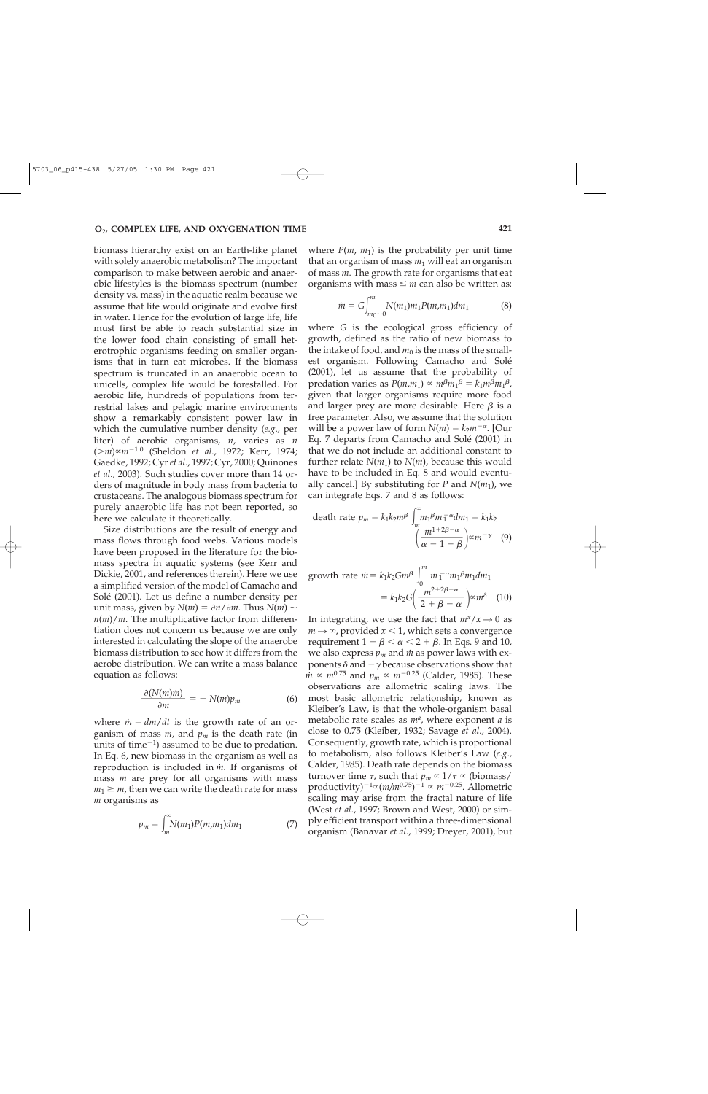biomass hierarchy exist on an Earth-like planet with solely anaerobic metabolism? The important comparison to make between aerobic and anaerobic lifestyles is the biomass spectrum (number density vs. mass) in the aquatic realm because we assume that life would originate and evolve first in water. Hence for the evolution of large life, life must first be able to reach substantial size in the lower food chain consisting of small heterotrophic organisms feeding on smaller organisms that in turn eat microbes. If the biomass spectrum is truncated in an anaerobic ocean to unicells, complex life would be forestalled. For aerobic life, hundreds of populations from terrestrial lakes and pelagic marine environments show a remarkably consistent power law in which the cumulative number density (*e.g*., per liter) of aerobic organisms, *n*, varies as *n* (*m*) *m*-1.0 (Sheldon *et al*., 1972; Kerr, 1974; Gaedke, 1992; Cyr *et al*., 1997; Cyr, 2000; Quinones *et al*., 2003). Such studies cover more than 14 orders of magnitude in body mass from bacteria to crustaceans. The analogous biomass spectrum for purely anaerobic life has not been reported, so here we calculate it theoretically.

Size distributions are the result of energy and mass flows through food webs. Various models have been proposed in the literature for the biomass spectra in aquatic systems (see Kerr and Dickie, 2001, and references therein). Here we use a simplified version of the model of Camacho and Solé (2001). Let us define a number density per unit mass, given by  $N(m) = \partial n / \partial m$ . Thus  $N(m) \sim$  $n(m)/m$ . The multiplicative factor from differentiation does not concern us because we are only interested in calculating the slope of the anaerobe biomass distribution to see how it differs from the aerobe distribution. We can write a mass balance equation as follows:

$$
\frac{\partial (N(m)\dot{m})}{\partial m} = -N(m)p_m \tag{6}
$$

where  $\dot{m} = dm/dt$  is the growth rate of an organism of mass *m*, and *pm* is the death rate (in units of time $^{-1}$ ) assumed to be due to predation. In Eq. 6, new biomass in the organism as well as reproduction is included in  $\dot{m}$ . If organisms of mass *m* are prey for all organisms with mass  $m_1 \geq m$ , then we can write the death rate for mass *m* organisms as

$$
p_m = \int_m^{\infty} N(m_1) P(m, m_1) dm_1 \tag{7}
$$

where  $P(m, m_1)$  is the probability per unit time that an organism of mass  $m_1$  will eat an organism of mass *m*. The growth rate for organisms that eat organisms with mass  $\leq m$  can also be written as:

$$
\dot{m} = G \int_{m_0 \sim 0}^{m} N(m_1) m_1 P(m, m_1) dm_1 \tag{8}
$$

where *G* is the ecological gross efficiency of growth, defined as the ratio of new biomass to the intake of food, and  $m_0$  is the mass of the smallest organism. Following Camacho and Solé (2001), let us assume that the probability of predation varies as  $P(m,m_1) \propto m^{\beta} m_1^{\beta} = k_1 m^{\beta} m_1^{\beta}$ , given that larger organisms require more food and larger prey are more desirable. Here  $\beta$  is a free parameter. Also, we assume that the solution will be a power law of form  $N(m) = k_2 m^{-\alpha}$ . [Our Eq. 7 departs from Camacho and Solé (2001) in that we do not include an additional constant to further relate  $N(m_1)$  to  $N(m)$ , because this would have to be included in Eq. 8 and would eventually cancel.] By substituting for *P* and  $N(m_1)$ , we can integrate Eqs. 7 and 8 as follows:

death rate 
$$
p_m = k_1 k_2 m^{\beta} \int_m^{\infty} m_1 \beta m_1^{-\alpha} dm_1 = k_1 k_2
$$
  

$$
\left(\frac{m^{1+2\beta-\alpha}}{\alpha-1-\beta}\right) \propto m^{-\gamma}
$$
 (9)

growth rate 
$$
\dot{m} = k_1 k_2 G m^{\beta} \int_0^m m_1^{-\alpha} m_1 \beta m_1 dm_1
$$
  
=  $k_1 k_2 G \left( \frac{m^{2+2\beta-\alpha}}{2+\beta-\alpha} \right) \propto m^{\delta}$  (10)

In integrating, we use the fact that  $m^x/x \to 0$  as  $m \rightarrow \infty$ , provided  $x < 1$ , which sets a convergence requirement  $1+\beta<\alpha< 2+\beta.$  In Eqs. 9 and 10, we also express  $p_m$  and  $\dot{m}$  as power laws with exponents  $\delta$  and  $-\gamma$  because observations show that  $m \propto m^{0.75}$  and  $p_m \propto m^{-0.25}$  (Calder, 1985). These observations are allometric scaling laws. The most basic allometric relationship, known as Kleiber's Law, is that the whole-organism basal metabolic rate scales as  $m^a$ , where exponent  $a$  is close to 0.75 (Kleiber, 1932; Savage *et al*., 2004). Consequently, growth rate, which is proportional to metabolism, also follows Kleiber's Law (*e.g*., Calder, 1985). Death rate depends on the biomass turnover time  $\tau$ , such that  $p_m \propto 1/\tau \propto$  (biomass/ productivity)<sup>-1</sup> $\propto$ (*m*/*m*<sup>0.75</sup>)<sup>-1</sup>  $\propto$  *m*<sup>-0.25</sup>. Allometric scaling may arise from the fractal nature of life (West *et al*., 1997; Brown and West, 2000) or simply efficient transport within a three-dimensional organism (Banavar *et al*., 1999; Dreyer, 2001), but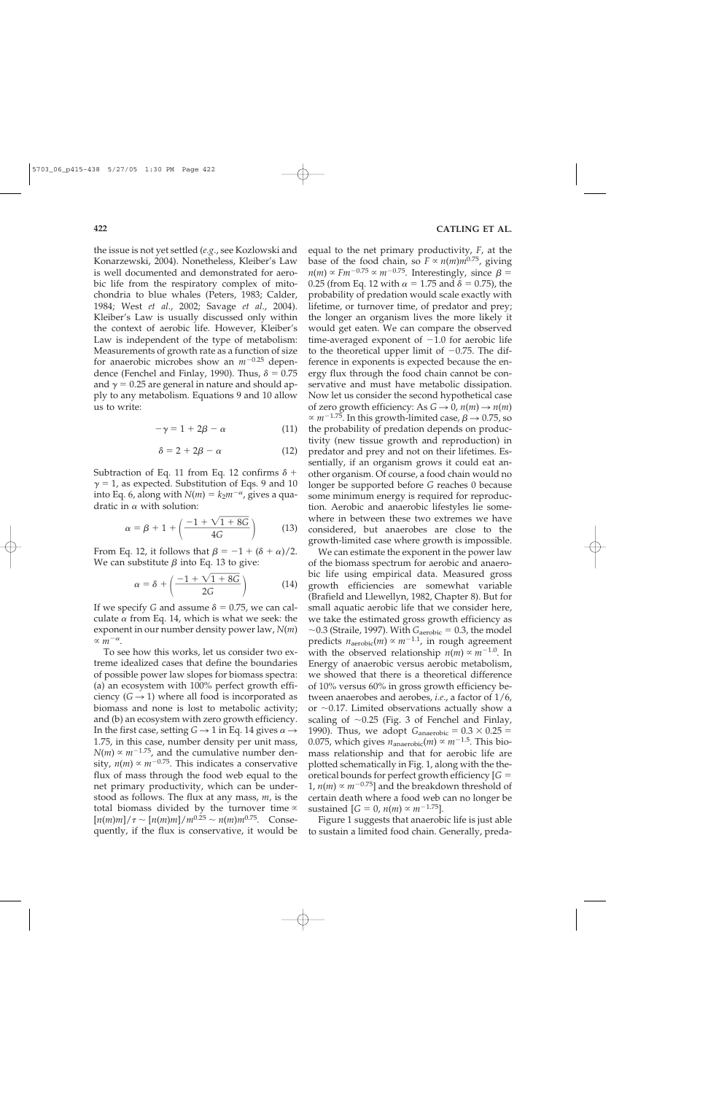the issue is not yet settled (*e.g*., see Kozlowski and Konarzewski, 2004). Nonetheless, Kleiber's Law is well documented and demonstrated for aerobic life from the respiratory complex of mitochondria to blue whales (Peters, 1983; Calder, 1984; West *et al*., 2002; Savage *et al*., 2004). Kleiber's Law is usually discussed only within the context of aerobic life. However, Kleiber's Law is independent of the type of metabolism: Measurements of growth rate as a function of size for anaerobic microbes show an *m*-0.25 dependence (Fenchel and Finlay, 1990). Thus,  $\delta = 0.75$ and  $\gamma = 0.25$  are general in nature and should apply to any metabolism. Equations 9 and 10 allow us to write:

$$
-\gamma = 1 + 2\beta - \alpha \tag{11}
$$

$$
\delta = 2 + 2\beta - \alpha \tag{12}
$$

Subtraction of Eq. 11 from Eq. 12 confirms  $\delta$  +  $\gamma = 1$ , as expected. Substitution of Eqs. 9 and 10 into Eq. 6, along with  $N(m) = k_2 m^{-\alpha}$ , gives a quadratic in  $\alpha$  with solution:

n 
$$
\alpha
$$
 with solution:  
\n
$$
\alpha = \beta + 1 + \left( \frac{-1 + \sqrt{1 + 8G}}{4G} \right)
$$
\n(13)

From Eq. 12, it follows that  $\beta = -1 + (\delta + \alpha)/2$ .

We can substitute 
$$
\beta
$$
 into Eq. 13 to give:  
\n
$$
\alpha = \delta + \left(\frac{-1 + \sqrt{1 + 8G}}{2G}\right)
$$
\n(14)

If we specify *G* and assume  $\delta = 0.75$ , we can calculate  $\alpha$  from Eq. 14, which is what we seek: the exponent in our number density power law, *N*(*m*)  $\propto m^{-\alpha}$ .

To see how this works, let us consider two extreme idealized cases that define the boundaries of possible power law slopes for biomass spectra: (a) an ecosystem with 100% perfect growth efficiency  $(G \rightarrow 1)$  where all food is incorporated as biomass and none is lost to metabolic activity; and (b) an ecosystem with zero growth efficiency. In the first case, setting  $G \rightarrow 1$  in Eq. 14 gives  $\alpha \rightarrow$ 1.75, in this case, number density per unit mass,  $N(m) \propto m^{-1.75}$ , and the cumulative number density,  $n(m) \propto m^{-0.75}$ . This indicates a conservative flux of mass through the food web equal to the net primary productivity, which can be understood as follows. The flux at any mass, *m*, is the total biomass divided by the turnover time  $\infty$  $[n(m)m]/\tau \sim [n(m)m]/m^{0.25} \sim n(m)m^{0.75}$ . Consequently, if the flux is conservative, it would be equal to the net primary productivity, *F*, at the base of the food chain, so  $F \propto n(m)m^{0.75}$ , giving  $n(m) \propto Fm^{-0.75} \propto m^{-0.75}$ . Interestingly, since  $\beta =$ 0.25 (from Eq. 12 with  $\alpha$  = 1.75 and  $\delta$  = 0.75), the probability of predation would scale exactly with lifetime, or turnover time, of predator and prey; the longer an organism lives the more likely it would get eaten. We can compare the observed time-averaged exponent of  $-1.0$  for aerobic life to the theoretical upper limit of  $-0.75$ . The difference in exponents is expected because the energy flux through the food chain cannot be conservative and must have metabolic dissipation. Now let us consider the second hypothetical case of zero growth efficiency: As  $G \rightarrow 0$ ,  $n(m) \rightarrow n(m)$  $\propto m^{-1.75}$ . In this growth-limited case,  $\beta \rightarrow 0.75$ , so the probability of predation depends on productivity (new tissue growth and reproduction) in predator and prey and not on their lifetimes. Essentially, if an organism grows it could eat another organism. Of course, a food chain would no longer be supported before *G* reaches 0 because some minimum energy is required for reproduction. Aerobic and anaerobic lifestyles lie somewhere in between these two extremes we have considered, but anaerobes are close to the growth-limited case where growth is impossible.

We can estimate the exponent in the power law of the biomass spectrum for aerobic and anaerobic life using empirical data. Measured gross growth efficiencies are somewhat variable (Brafield and Llewellyn, 1982, Chapter 8). But for small aquatic aerobic life that we consider here, we take the estimated gross growth efficiency as  $\sim$ 0.3 (Straile, 1997). With  $G_{\text{aerobic}} = 0.3$ , the model predicts  $n_{\rm aerobic}(m) \propto m^{-1.1}$ , in rough agreement with the observed relationship  $n(m) \propto m^{-1.0}$ . In Energy of anaerobic versus aerobic metabolism, we showed that there is a theoretical difference of 10% versus 60% in gross growth efficiency between anaerobes and aerobes, *i.e*., a factor of 1/6, or  $\sim$ 0.17. Limited observations actually show a scaling of  $\sim 0.25$  (Fig. 3 of Fenchel and Finlay, 1990). Thus, we adopt  $G_{\text{anaerobic}} = 0.3 \times 0.25 =$ 0.075, which gives  $n_{\text{anaerobic}}(m) \propto m^{-1.5}$ . This biomass relationship and that for aerobic life are plotted schematically in Fig. 1, along with the theoretical bounds for perfect growth efficiency [*G*  $1, n(m) \propto m^{-0.75}$ ] and the breakdown threshold of certain death where a food web can no longer be sustained  $[G = 0, n(m) \propto m^{-1.75}].$ 

Figure 1 suggests that anaerobic life is just able to sustain a limited food chain. Generally, preda-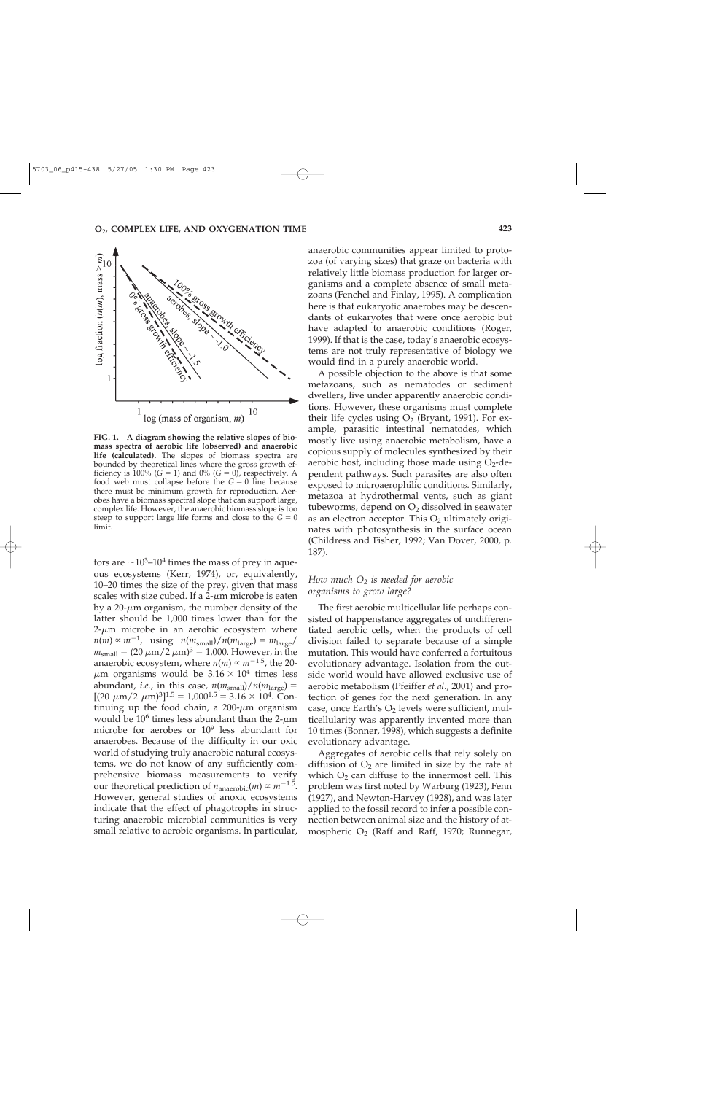

**FIG. 1. A diagram showing the relative slopes of biomass spectra of aerobic life (observed) and anaerobic life (calculated).** The slopes of biomass spectra are bounded by theoretical lines where the gross growth efficiency is 100% ( $G = 1$ ) and 0% ( $G = 0$ ), respectively. A food web must collapse before the  $G = 0$  line because there must be minimum growth for reproduction. Aerobes have a biomass spectral slope that can support large, complex life. However, the anaerobic biomass slope is too steep to support large life forms and close to the  $G = 0$ limit.

tors are  $\sim$ 10<sup>3</sup>–10<sup>4</sup> times the mass of prey in aqueous ecosystems (Kerr, 1974), or, equivalently, 10–20 times the size of the prey, given that mass scales with size cubed. If a  $2-\mu m$  microbe is eaten by a 20- $\mu$ m organism, the number density of the latter should be 1,000 times lower than for the  $2-\mu m$  microbe in an aerobic ecosystem where  $n(m) \propto m^{-1}$ , using  $n(m_{\text{small}})/n(m_{\text{large}}) = m_{\text{large}}/m$  $m_{\text{small}} = (20 \,\mu\text{m}/2 \,\mu\text{m})^3 = 1,000$ . However, in the anaerobic ecosystem, where  $n(m) \propto m^{-1.5}$ , the 20- $\mu$ m organisms would be 3.16  $\times$  10<sup>4</sup> times less abundant, *i.e.*, in this case,  $n(m_{small})/n(m_{large}) =$  $[(20 \ \mu m/2 \ \mu m)^3]^{1.5} = 1,000^{1.5} = 3.16 \times 10^4$ . Continuing up the food chain, a  $200-\mu m$  organism would be  $10^6$  times less abundant than the 2- $\mu$ m microbe for aerobes or  $10^9$  less abundant for anaerobes. Because of the difficulty in our oxic world of studying truly anaerobic natural ecosystems, we do not know of any sufficiently comprehensive biomass measurements to verify our theoretical prediction of  $n_{\text{anaerobic}}(m) \propto m^{-1.5}$ . However, general studies of anoxic ecosystems indicate that the effect of phagotrophs in structuring anaerobic microbial communities is very small relative to aerobic organisms. In particular, anaerobic communities appear limited to protozoa (of varying sizes) that graze on bacteria with relatively little biomass production for larger organisms and a complete absence of small metazoans (Fenchel and Finlay, 1995). A complication here is that eukaryotic anaerobes may be descendants of eukaryotes that were once aerobic but have adapted to anaerobic conditions (Roger, 1999). If that is the case, today's anaerobic ecosystems are not truly representative of biology we would find in a purely anaerobic world.

A possible objection to the above is that some metazoans, such as nematodes or sediment dwellers, live under apparently anaerobic conditions. However, these organisms must complete their life cycles using  $O_2$  (Bryant, 1991). For example, parasitic intestinal nematodes, which mostly live using anaerobic metabolism, have a copious supply of molecules synthesized by their aerobic host, including those made using  $O_2$ -dependent pathways. Such parasites are also often exposed to microaerophilic conditions. Similarly, metazoa at hydrothermal vents, such as giant tubeworms, depend on  $O<sub>2</sub>$  dissolved in seawater as an electron acceptor. This  $O<sub>2</sub>$  ultimately originates with photosynthesis in the surface ocean (Childress and Fisher, 1992; Van Dover, 2000, p. 187).

## *How much O2 is needed for aerobic organisms to grow large?*

The first aerobic multicellular life perhaps consisted of happenstance aggregates of undifferentiated aerobic cells, when the products of cell division failed to separate because of a simple mutation. This would have conferred a fortuitous evolutionary advantage. Isolation from the outside world would have allowed exclusive use of aerobic metabolism (Pfeiffer *et al*., 2001) and protection of genes for the next generation. In any case, once Earth's  $O_2$  levels were sufficient, multicellularity was apparently invented more than 10 times (Bonner, 1998), which suggests a definite evolutionary advantage.

Aggregates of aerobic cells that rely solely on diffusion of  $O_2$  are limited in size by the rate at which  $O_2$  can diffuse to the innermost cell. This problem was first noted by Warburg (1923), Fenn (1927), and Newton-Harvey (1928), and was later applied to the fossil record to infer a possible connection between animal size and the history of atmospheric  $O_2$  (Raff and Raff, 1970; Runnegar,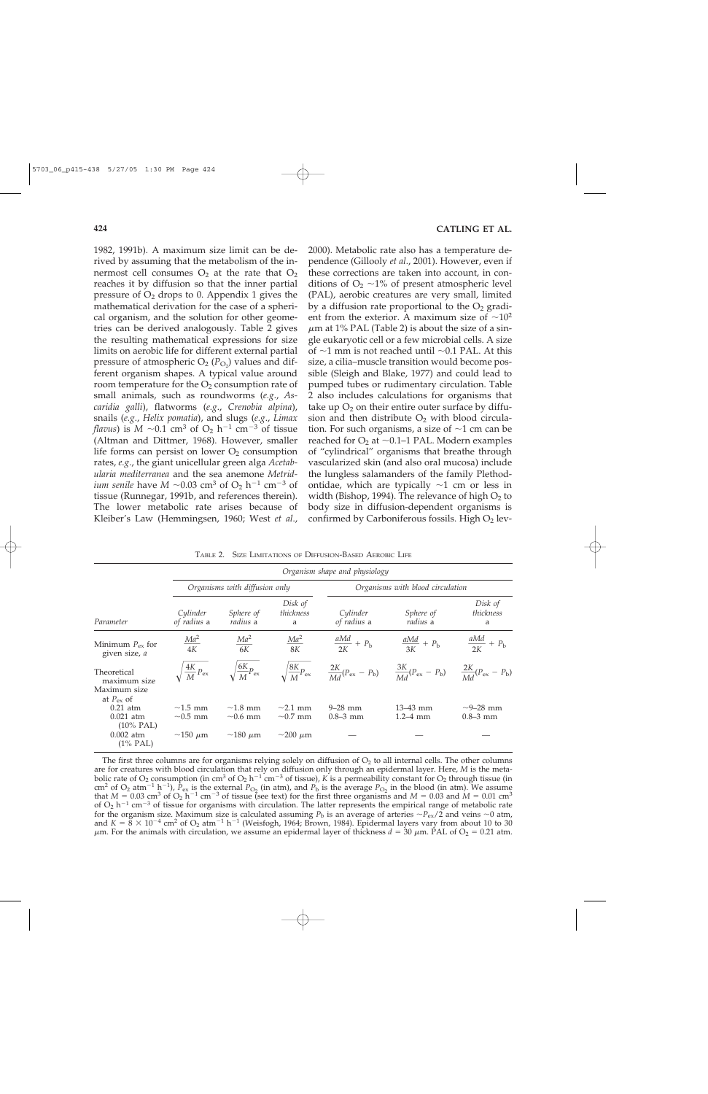1982, 1991b). A maximum size limit can be derived by assuming that the metabolism of the innermost cell consumes  $O_2$  at the rate that  $O_2$ reaches it by diffusion so that the inner partial pressure of  $O<sub>2</sub>$  drops to 0. Appendix 1 gives the mathematical derivation for the case of a spherical organism, and the solution for other geometries can be derived analogously. Table 2 gives the resulting mathematical expressions for size limits on aerobic life for different external partial pressure of atmospheric  $O_2$  ( $P_{O_2}$ ) values and different organism shapes. A typical value around room temperature for the  $O<sub>2</sub>$  consumption rate of small animals, such as roundworms (*e.g*., *Ascaridia galli*), flatworms (*e.g*., *Crenobia alpina*), snails (*e.g*., *Helix pomatia*), and slugs (*e.g*., *Limax flavus*) is  $M \sim 0.1$  cm<sup>3</sup> of  $O_2$   $h^{-1}$  cm<sup>-3</sup> of tissue (Altman and Dittmer, 1968). However, smaller life forms can persist on lower  $O_2$  consumption rates, *e.g*., the giant unicellular green alga *Acetabularia mediterranea* and the sea anemone *Metridium senile* have  $M \sim 0.03$  cm<sup>3</sup> of  $O_2$  h<sup>-1</sup> cm<sup>-3</sup> of tissue (Runnegar, 1991b, and references therein). The lower metabolic rate arises because of Kleiber's Law (Hemmingsen, 1960; West *et al*., 2000). Metabolic rate also has a temperature dependence (Gillooly *et al*., 2001). However, even if these corrections are taken into account, in conditions of  $O_2 \sim 1\%$  of present atmospheric level (PAL), aerobic creatures are very small, limited by a diffusion rate proportional to the  $O<sub>2</sub>$  gradient from the exterior. A maximum size of  $\sim 10^2$  $\mu$ m at 1% PAL (Table 2) is about the size of a single eukaryotic cell or a few microbial cells. A size of  $\sim$ 1 mm is not reached until  $\sim$ 0.1 PAL. At this size, a cilia–muscle transition would become possible (Sleigh and Blake, 1977) and could lead to pumped tubes or rudimentary circulation. Table 2 also includes calculations for organisms that take up  $O_2$  on their entire outer surface by diffusion and then distribute  $O_2$  with blood circulation. For such organisms, a size of  $\sim$ 1 cm can be reached for  $O_2$  at  $\sim$  0.1–1 PAL. Modern examples of "cylindrical" organisms that breathe through vascularized skin (and also oral mucosa) include the lungless salamanders of the family Plethodontidae, which are typically  $\sim$ 1 cm or less in width (Bishop, 1994). The relevance of high  $O_2$  to body size in diffusion-dependent organisms is confirmed by Carboniferous fossils. High  $O<sub>2</sub>$  lev-

| TABLE 2. SIZE LIMITATIONS OF DIFFUSION-BASED AEROBIC LIFE |  |
|-----------------------------------------------------------|--|
|-----------------------------------------------------------|--|

|                                                                   | Organism shape and physiology  |                                 |                                 |                                                                             |                              |                                       |
|-------------------------------------------------------------------|--------------------------------|---------------------------------|---------------------------------|-----------------------------------------------------------------------------|------------------------------|---------------------------------------|
|                                                                   | Organisms with diffusion only  |                                 |                                 | Organisms with blood circulation                                            |                              |                                       |
| Parameter                                                         | Cylinder<br>of radius a        | Sphere of<br><i>radius</i> a    | Disk of<br>thickness<br>a       | Cylinder<br>of radius a                                                     | Sphere of<br><i>radius</i> a | Disk of<br>thickness<br>a             |
| Minimum $P_{\text{ex}}$ for<br>given size, a                      | $\frac{Ma^2}{4K}$              | $\frac{Ma^2}{6K}$               | $\frac{Ma^2}{8K}$               | $\frac{aMd}{2K} + P_{\rm b}$                                                | $\frac{aMd}{3K} + P_{\rm b}$ | $\frac{aMd}{2K} + P_{\rm b}$          |
| Theoretical<br>maximum size<br>Maximum size<br>at $P_{\rm ex}$ of | $\frac{4K}{M}P_{\rm ex}$       | $\sqrt{\frac{6K}{M}}P_{\rm ex}$ | $\sqrt{\frac{8K}{M}}P_{\rm ex}$ | $\frac{2K}{Md}(P_{\rm ex}-P_{\rm b})$ $\frac{3K}{Md}(P_{\rm ex}-P_{\rm b})$ |                              | $\frac{2K}{Md}(P_{\rm ex}-P_{\rm b})$ |
| $0.21$ atm<br>$0.021$ atm<br>$(10\% \text{ PAL})$                 | $\sim$ 1.5 mm<br>$\sim 0.5$ mm | $\sim$ 1.8 mm<br>$\sim 0.6$ mm  | $\sim$ 2.1 mm<br>$\sim 0.7$ mm  | $9 - 28$ mm<br>$0.8 - 3$ mm                                                 | $13 - 43$ mm<br>$1.2 - 4$ mm | $\sim$ 9–28 mm<br>$0.8 - 3$ mm        |
| $0.002$ atm<br>$(1\%$ PAL)                                        | $\sim$ 150 $\mu$ m             | $\sim$ 180 $\mu$ m              | $\sim$ 200 $\mu$ m              |                                                                             |                              |                                       |

The first three columns are for organisms relying solely on diffusion of  $O<sub>2</sub>$  to all internal cells. The other columns are for creatures with blood circulation that rely on diffusion only through an epidermal layer. Here, *M* is the metabolic rate of  $O_2$  consumption (in cm<sup>3</sup> of  $O_2$  h<sup>-1</sup> cm<sup>-3</sup> of tissue), *K* is a permeability constant for  $O_2$  through tissue (in cm<sup>2</sup> of O<sub>2</sub> atm<sup>-1</sup> h<sup>-1</sup>),  $\hat{P}_{ex}$  is the external  $P_{O_2}$  (in atm), and  $P_b$  is the average  $P_{O_2}$  in the blood (in atm). We assume that  $M = 0.03$  cm<sup>3</sup> of O<sub>2</sub> h<sup>-1</sup> cm<sup>-3</sup> of tissue (see text) for the first three organisms and  $M = 0.03$  and  $M = 0.01$  cm<sup>3</sup> of  $O_2$  h<sup>-1</sup> cm<sup>-3</sup> of tissue for organisms with circulation. The latter represents the empirical range of metabolic rate for the organism size. Maximum size is calculated assuming  $P_b$  is an average of arteries  $\sim P_{ex}/\tilde{2}$  and veins  $\sim 0$  atm, and  $K = 8 \times 10^{-4}$  cm<sup>2</sup> of O<sub>2</sub> atm<sup>-1</sup> h<sup>-1</sup> (Weisfogh, 1964; Brown, 1984). Epidermal layers vary from about 10 to 30  $\mu$ m. For the animals with circulation, we assume an epidermal layer of thickness  $d = 30 \mu$ m. PAL of O<sub>2</sub> = 0.21 atm.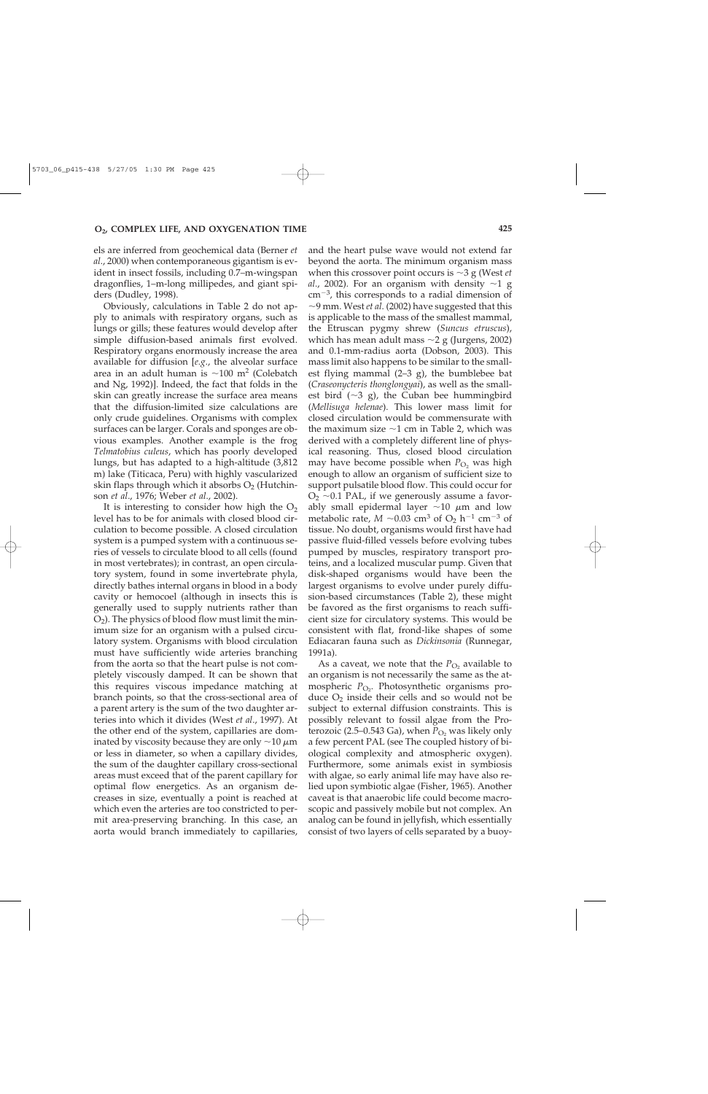els are inferred from geochemical data (Berner *et al*., 2000) when contemporaneous gigantism is evident in insect fossils, including 0.7–m-wingspan dragonflies, 1–m-long millipedes, and giant spiders (Dudley, 1998).

Obviously, calculations in Table 2 do not apply to animals with respiratory organs, such as lungs or gills; these features would develop after simple diffusion-based animals first evolved. Respiratory organs enormously increase the area available for diffusion [*e.g*., the alveolar surface area in an adult human is  $\sim$ 100 m<sup>2</sup> (Colebatch and Ng, 1992)]. Indeed, the fact that folds in the skin can greatly increase the surface area means that the diffusion-limited size calculations are only crude guidelines. Organisms with complex surfaces can be larger. Corals and sponges are obvious examples. Another example is the frog *Telmatobius culeus*, which has poorly developed lungs, but has adapted to a high-altitude (3,812 m) lake (Titicaca, Peru) with highly vascularized skin flaps through which it absorbs  $O_2$  (Hutchinson *et al*., 1976; Weber *et al*., 2002).

It is interesting to consider how high the  $O<sub>2</sub>$ level has to be for animals with closed blood circulation to become possible. A closed circulation system is a pumped system with a continuous series of vessels to circulate blood to all cells (found in most vertebrates); in contrast, an open circulatory system, found in some invertebrate phyla, directly bathes internal organs in blood in a body cavity or hemocoel (although in insects this is generally used to supply nutrients rather than  $O_2$ ). The physics of blood flow must limit the minimum size for an organism with a pulsed circulatory system. Organisms with blood circulation must have sufficiently wide arteries branching from the aorta so that the heart pulse is not completely viscously damped. It can be shown that this requires viscous impedance matching at branch points, so that the cross-sectional area of a parent artery is the sum of the two daughter arteries into which it divides (West *et al*., 1997). At the other end of the system, capillaries are dominated by viscosity because they are only  $\sim$ 10  $\mu$ m or less in diameter, so when a capillary divides, the sum of the daughter capillary cross-sectional areas must exceed that of the parent capillary for optimal flow energetics. As an organism decreases in size, eventually a point is reached at which even the arteries are too constricted to permit area-preserving branching. In this case, an aorta would branch immediately to capillaries,

and the heart pulse wave would not extend far beyond the aorta. The minimum organism mass when this crossover point occurs is  $\sim$ 3 g (West *et*) *al.,* 2002). For an organism with density  $\sim$ 1 g cm-3, this corresponds to a radial dimension of 9 mm. West *et al*. (2002) have suggested that this is applicable to the mass of the smallest mammal, the Etruscan pygmy shrew (*Suncus etruscus*), which has mean adult mass  $\sim$ 2 g (Jurgens, 2002) and 0.1-mm-radius aorta (Dobson, 2003). This mass limit also happens to be similar to the smallest flying mammal (2–3 g), the bumblebee bat (*Craseonycteris thonglongyai*), as well as the smallest bird  $(\sim 3 \text{ g})$ , the Cuban bee hummingbird (*Mellisuga helenae*). This lower mass limit for closed circulation would be commensurate with the maximum size  $\sim$ 1 cm in Table 2, which was derived with a completely different line of physical reasoning. Thus, closed blood circulation may have become possible when  $P_{\text{O}_2}$  was high enough to allow an organism of sufficient size to support pulsatile blood flow. This could occur for  $O<sub>2</sub>$  ~0.1 PAL, if we generously assume a favorably small epidermal layer  $\sim$ 10  $\mu$ m and low metabolic rate,  $M \sim 0.03$  cm<sup>3</sup> of  $O_2$  h<sup>-1</sup> cm<sup>-3</sup> of tissue. No doubt, organisms would first have had passive fluid-filled vessels before evolving tubes pumped by muscles, respiratory transport proteins, and a localized muscular pump. Given that disk-shaped organisms would have been the largest organisms to evolve under purely diffusion-based circumstances (Table 2), these might be favored as the first organisms to reach sufficient size for circulatory systems. This would be consistent with flat, frond-like shapes of some Ediacaran fauna such as *Dickinsonia* (Runnegar, 1991a).

As a caveat, we note that the  $P_{\text{O}_2}$  available to an organism is not necessarily the same as the atmospheric *P*<sub>O2</sub>. Photosynthetic organisms produce  $O_2$  inside their cells and so would not be subject to external diffusion constraints. This is possibly relevant to fossil algae from the Proterozoic (2.5–0.543 Ga), when  $P_{\text{O}_2}$  was likely only a few percent PAL (see The coupled history of biological complexity and atmospheric oxygen). Furthermore, some animals exist in symbiosis with algae, so early animal life may have also relied upon symbiotic algae (Fisher, 1965). Another caveat is that anaerobic life could become macroscopic and passively mobile but not complex. An analog can be found in jellyfish, which essentially consist of two layers of cells separated by a buoy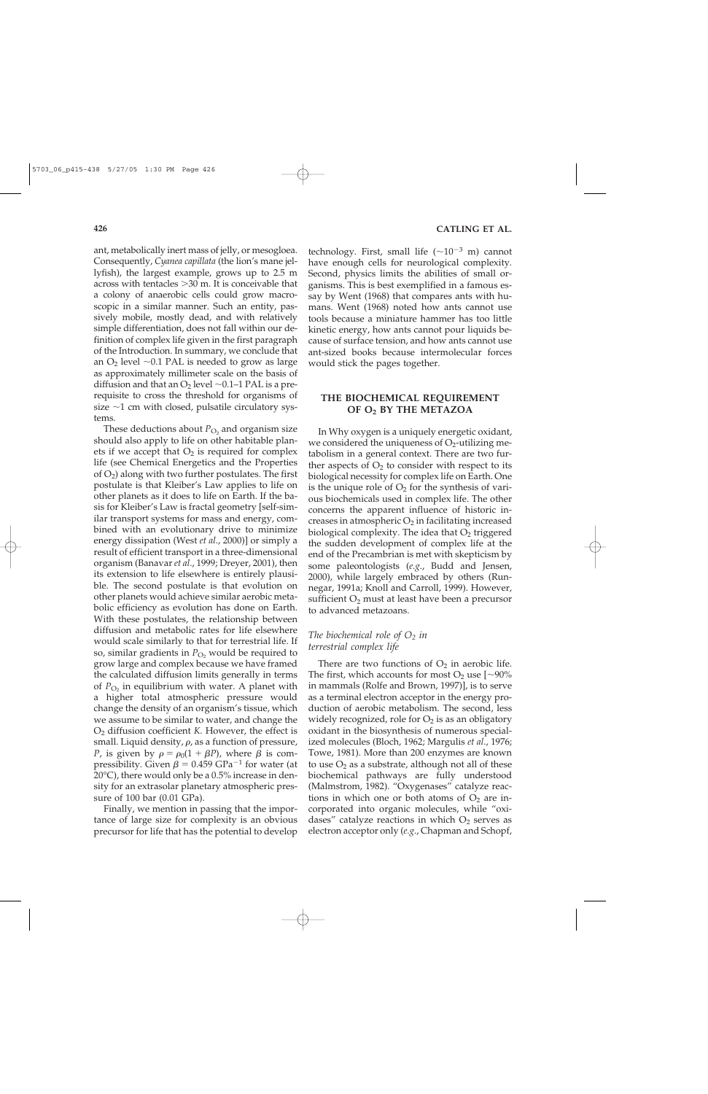ant, metabolically inert mass of jelly, or mesogloea. Consequently, *Cyanea capillata* (the lion's mane jellyfish), the largest example, grows up to 2.5 m across with tentacles  $>$ 30 m. It is conceivable that a colony of anaerobic cells could grow macroscopic in a similar manner. Such an entity, passively mobile, mostly dead, and with relatively simple differentiation, does not fall within our definition of complex life given in the first paragraph of the Introduction. In summary, we conclude that an  $O_2$  level  $\sim$ 0.1 PAL is needed to grow as large as approximately millimeter scale on the basis of diffusion and that an  $O_2$  level  $\sim$  0.1–1 PAL is a prerequisite to cross the threshold for organisms of size  $\sim$ 1 cm with closed, pulsatile circulatory systems.

These deductions about  $P_{\text{O}_2}$  and organism size should also apply to life on other habitable planets if we accept that  $O_2$  is required for complex life (see Chemical Energetics and the Properties of  $O_2$ ) along with two further postulates. The first postulate is that Kleiber's Law applies to life on other planets as it does to life on Earth. If the basis for Kleiber's Law is fractal geometry [self-similar transport systems for mass and energy, combined with an evolutionary drive to minimize energy dissipation (West *et al*., 2000)] or simply a result of efficient transport in a three-dimensional organism (Banavar *et al*., 1999; Dreyer, 2001), then its extension to life elsewhere is entirely plausible. The second postulate is that evolution on other planets would achieve similar aerobic metabolic efficiency as evolution has done on Earth. With these postulates, the relationship between diffusion and metabolic rates for life elsewhere would scale similarly to that for terrestrial life. If so, similar gradients in  $P_{\text{O}_2}$  would be required to grow large and complex because we have framed the calculated diffusion limits generally in terms of  $P_{\text{O}_2}$  in equilibrium with water. A planet with a higher total atmospheric pressure would change the density of an organism's tissue, which we assume to be similar to water, and change the O2 diffusion coefficient *K*. However, the effect is small. Liquid density,  $\rho$ , as a function of pressure, *P*, is given by  $\rho = \rho_0(1 + \beta P)$ , where  $\beta$  is compressibility. Given  $\beta = 0.459$  GPa<sup>-1</sup> for water (at  $20^{\circ}$ C), there would only be a 0.5% increase in density for an extrasolar planetary atmospheric pressure of 100 bar (0.01 GPa).

Finally, we mention in passing that the importance of large size for complexity is an obvious precursor for life that has the potential to develop

technology. First, small life  $({\sim}10^{-3}$  m) cannot have enough cells for neurological complexity. Second, physics limits the abilities of small organisms. This is best exemplified in a famous essay by Went (1968) that compares ants with humans. Went (1968) noted how ants cannot use tools because a miniature hammer has too little kinetic energy, how ants cannot pour liquids because of surface tension, and how ants cannot use ant-sized books because intermolecular forces would stick the pages together.

## **THE BIOCHEMICAL REQUIREMENT OF O2 BY THE METAZOA**

In Why oxygen is a uniquely energetic oxidant, we considered the uniqueness of  $O<sub>2</sub>$ -utilizing metabolism in a general context. There are two further aspects of  $O<sub>2</sub>$  to consider with respect to its biological necessity for complex life on Earth. One is the unique role of  $O_2$  for the synthesis of various biochemicals used in complex life. The other concerns the apparent influence of historic increases in atmospheric  $O_2$  in facilitating increased biological complexity. The idea that  $O<sub>2</sub>$  triggered the sudden development of complex life at the end of the Precambrian is met with skepticism by some paleontologists (*e.g*., Budd and Jensen, 2000), while largely embraced by others (Runnegar, 1991a; Knoll and Carroll, 1999). However, sufficient  $O_2$  must at least have been a precursor to advanced metazoans.

## *The biochemical role of*  $O_2$  *in terrestrial complex life*

There are two functions of  $O_2$  in aerobic life. The first, which accounts for most  $O_2$  use  $[-90\%$ in mammals (Rolfe and Brown, 1997)], is to serve as a terminal electron acceptor in the energy production of aerobic metabolism. The second, less widely recognized, role for  $O_2$  is as an obligatory oxidant in the biosynthesis of numerous specialized molecules (Bloch, 1962; Margulis *et al*., 1976; Towe, 1981). More than 200 enzymes are known to use  $O_2$  as a substrate, although not all of these biochemical pathways are fully understood (Malmstrom, 1982). "Oxygenases" catalyze reactions in which one or both atoms of  $O_2$  are incorporated into organic molecules, while "oxidases" catalyze reactions in which  $O<sub>2</sub>$  serves as electron acceptor only (*e.g*., Chapman and Schopf,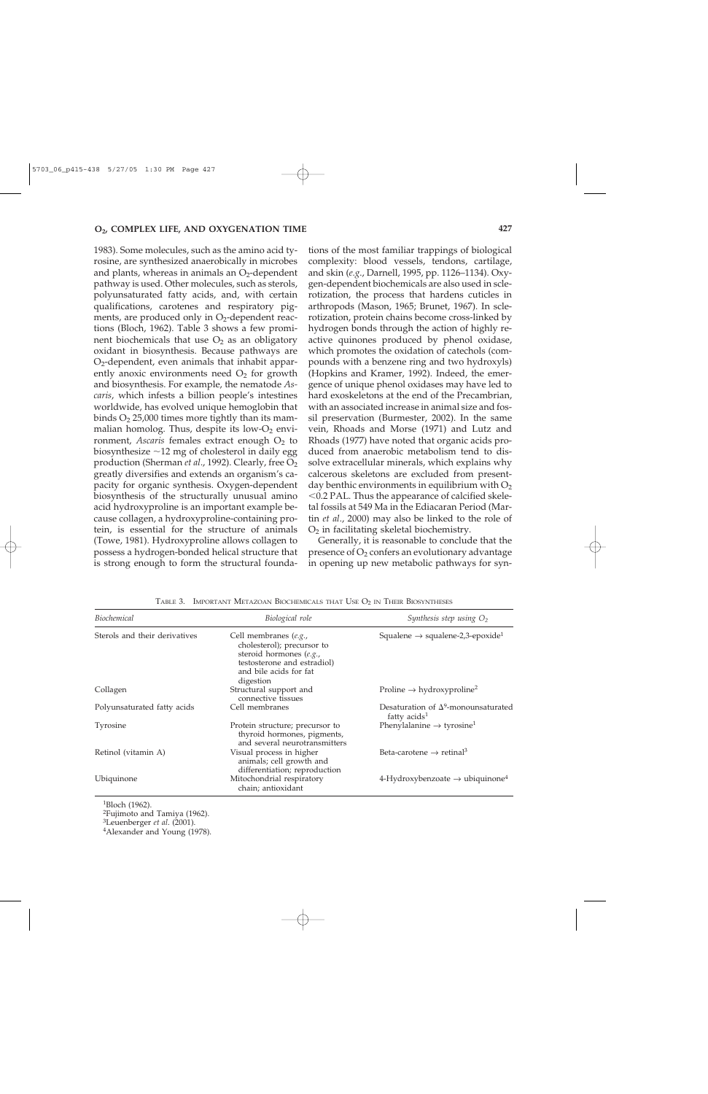1983). Some molecules, such as the amino acid tyrosine, are synthesized anaerobically in microbes and plants, whereas in animals an  $O<sub>2</sub>$ -dependent pathway is used. Other molecules, such as sterols, polyunsaturated fatty acids, and, with certain qualifications, carotenes and respiratory pigments, are produced only in  $O<sub>2</sub>$ -dependent reactions (Bloch, 1962). Table 3 shows a few prominent biochemicals that use  $O<sub>2</sub>$  as an obligatory oxidant in biosynthesis. Because pathways are  $O<sub>2</sub>$ -dependent, even animals that inhabit apparently anoxic environments need  $O_2$  for growth and biosynthesis. For example, the nematode *Ascaris*, which infests a billion people's intestines worldwide, has evolved unique hemoglobin that binds  $O_2$  25,000 times more tightly than its mammalian homolog. Thus, despite its low- $O_2$  environment, *Ascaris* females extract enough O<sub>2</sub> to biosynthesize  $\sim$ 12 mg of cholesterol in daily egg production (Sherman *et al.*, 1992). Clearly, free O<sub>2</sub> greatly diversifies and extends an organism's capacity for organic synthesis. Oxygen-dependent biosynthesis of the structurally unusual amino acid hydroxyproline is an important example because collagen, a hydroxyproline-containing protein, is essential for the structure of animals (Towe, 1981). Hydroxyproline allows collagen to possess a hydrogen-bonded helical structure that is strong enough to form the structural foundations of the most familiar trappings of biological complexity: blood vessels, tendons, cartilage, and skin (*e.g*., Darnell, 1995, pp. 1126–1134). Oxygen-dependent biochemicals are also used in sclerotization, the process that hardens cuticles in arthropods (Mason, 1965; Brunet, 1967). In sclerotization, protein chains become cross-linked by hydrogen bonds through the action of highly reactive quinones produced by phenol oxidase, which promotes the oxidation of catechols (compounds with a benzene ring and two hydroxyls) (Hopkins and Kramer, 1992). Indeed, the emergence of unique phenol oxidases may have led to hard exoskeletons at the end of the Precambrian, with an associated increase in animal size and fossil preservation (Burmester, 2002). In the same vein, Rhoads and Morse (1971) and Lutz and Rhoads (1977) have noted that organic acids produced from anaerobic metabolism tend to dissolve extracellular minerals, which explains why calcerous skeletons are excluded from presentday benthic environments in equilibrium with  $O_2$  $<$  0.2 PAL. Thus the appearance of calcified skeletal fossils at 549 Ma in the Ediacaran Period (Martin *et al*., 2000) may also be linked to the role of O2 in facilitating skeletal biochemistry.

Generally, it is reasonable to conclude that the presence of  $O_2$  confers an evolutionary advantage in opening up new metabolic pathways for syn-

| <b>Biochemical</b>            | Biological role                                                                                                                                      | Synthesis step using $O_2$                                    |
|-------------------------------|------------------------------------------------------------------------------------------------------------------------------------------------------|---------------------------------------------------------------|
| Sterols and their derivatives | Cell membranes (e.g.,<br>cholesterol); precursor to<br>steroid hormones (e.g.,<br>testosterone and estradiol)<br>and bile acids for fat<br>digestion | Squalene $\rightarrow$ squalene-2,3-epoxide <sup>1</sup>      |
| Collagen                      | Structural support and<br>connective tissues                                                                                                         | Proline $\rightarrow$ hydroxyproline <sup>2</sup>             |
| Polyunsaturated fatty acids   | Cell membranes                                                                                                                                       | Desaturation of $\Delta^9$ -monounsaturated<br>fatty $acids1$ |
| Tyrosine                      | Protein structure; precursor to<br>thyroid hormones, pigments,<br>and several neurotransmitters                                                      | Phenylalanine $\rightarrow$ tyrosine <sup>1</sup>             |
| Retinol (vitamin A)           | Visual process in higher<br>animals; cell growth and<br>differentiation; reproduction                                                                | Beta-carotene $\rightarrow$ retinal <sup>3</sup>              |
| Ubiquinone                    | Mitochondrial respiratory<br>chain; antioxidant                                                                                                      | 4-Hydroxybenzoate $\rightarrow$ ubiquinone <sup>4</sup>       |

TABLE 3. IMPORTANT METAZOAN BIOCHEMICALS THAT USE  $O_2$  in Their Biosyntheses

1Bloch (1962).

<sup>2</sup>Fujimoto and Tamiya (1962).<br><sup>3</sup>Leuenberger *et al.* (2001).

<sup>4</sup>Alexander and Young (1978).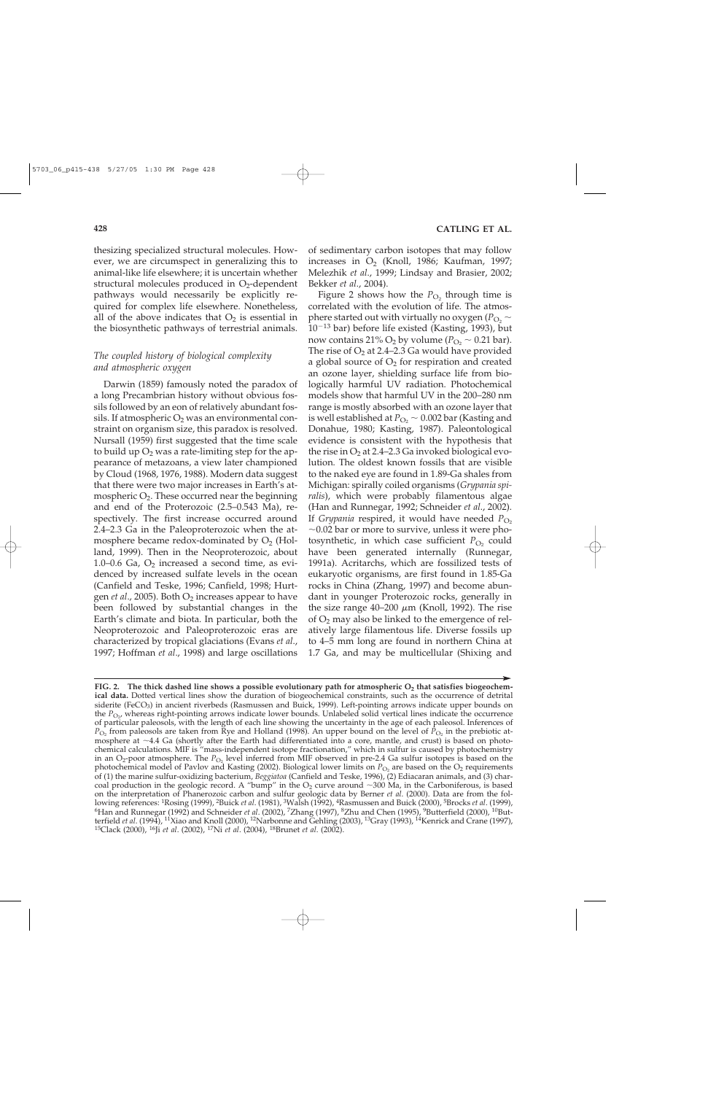thesizing specialized structural molecules. However, we are circumspect in generalizing this to animal-like life elsewhere; it is uncertain whether structural molecules produced in  $O<sub>2</sub>$ -dependent pathways would necessarily be explicitly required for complex life elsewhere. Nonetheless, all of the above indicates that  $O_2$  is essential in the biosynthetic pathways of terrestrial animals.

# *The coupled history of biological complexity and atmospheric oxygen*

Darwin (1859) famously noted the paradox of a long Precambrian history without obvious fossils followed by an eon of relatively abundant fossils. If atmospheric  $O_2$  was an environmental constraint on organism size, this paradox is resolved. Nursall (1959) first suggested that the time scale to build up  $O_2$  was a rate-limiting step for the appearance of metazoans, a view later championed by Cloud (1968, 1976, 1988). Modern data suggest that there were two major increases in Earth's atmospheric  $O_2$ . These occurred near the beginning and end of the Proterozoic (2.5–0.543 Ma), respectively. The first increase occurred around 2.4–2.3 Ga in the Paleoproterozoic when the atmosphere became redox-dominated by  $O<sub>2</sub>$  (Holland, 1999). Then in the Neoproterozoic, about 1.0–0.6 Ga,  $O_2$  increased a second time, as evidenced by increased sulfate levels in the ocean (Canfield and Teske, 1996; Canfield, 1998; Hurtgen *et al.*, 2005). Both O<sub>2</sub> increases appear to have been followed by substantial changes in the Earth's climate and biota. In particular, both the Neoproterozoic and Paleoproterozoic eras are characterized by tropical glaciations (Evans *et al*., 1997; Hoffman *et al*., 1998) and large oscillations

of sedimentary carbon isotopes that may follow increases in  $O_2$  (Knoll, 1986; Kaufman, 1997; Melezhik *et al*., 1999; Lindsay and Brasier, 2002; Bekker *et al*., 2004).

Figure 2 shows how the  $P_{\text{O}_2}$  through time is correlated with the evolution of life. The atmosphere started out with virtually no oxygen ( $P_{\text{O}_2}$   $\sim$ 10-<sup>13</sup> bar) before life existed (Kasting, 1993), but now contains 21% O<sub>2</sub> by volume ( $P_{\text{O}_2} \sim 0.21$  bar). The rise of  $O_2$  at 2.4–2.3 Ga would have provided a global source of  $O_2$  for respiration and created an ozone layer, shielding surface life from biologically harmful UV radiation. Photochemical models show that harmful UV in the 200–280 nm range is mostly absorbed with an ozone layer that is well established at  $P_{\text{O}_2} \sim 0.002$  bar (Kasting and Donahue, 1980; Kasting, 1987). Paleontological evidence is consistent with the hypothesis that the rise in  $O_2$  at 2.4–2.3 Ga invoked biological evolution. The oldest known fossils that are visible to the naked eye are found in 1.89-Ga shales from Michigan: spirally coiled organisms (*Grypania spiralis*), which were probably filamentous algae (Han and Runnegar, 1992; Schneider *et al*., 2002). If *Grypania* respired, it would have needed  $P_{\text{O}_2}$  $\sim$  0.02 bar or more to survive, unless it were photosynthetic, in which case sufficient  $P_{\text{O}_2}$  could have been generated internally (Runnegar, 1991a). Acritarchs, which are fossilized tests of eukaryotic organisms, are first found in 1.85-Ga rocks in China (Zhang, 1997) and become abundant in younger Proterozoic rocks, generally in the size range  $40-200 \mu m$  (Knoll, 1992). The rise of  $O_2$  may also be linked to the emergence of relatively large filamentous life. Diverse fossils up to 4–5 mm long are found in northern China at 1.7 Ga, and may be multicellular (Shixing and

FIG. 2. The thick dashed line shows a possible evolutionary path for atmospheric O<sub>2</sub> that satisfies biogeochem**ical data.** Dotted vertical lines show the duration of biogeochemical constraints, such as the occurrence of detrital siderite (FeCO<sub>3</sub>) in ancient riverbeds (Rasmussen and Buick, 1999). Left-pointing arrows indicate upper bounds on the *P*<sub>O<sub>2</sub></sub>, whereas right-pointing arrows indicate lower bounds. Unlabeled solid vertical lines indicate the occurrence of particular paleosols, with the length of each line showing the uncertainty in the age of each paleosol. Inferences of *P*<sub>O2</sub> from paleosols are taken from Rye and Holland (1998). An upper bound on the level of *P*<sub>O2</sub> in the prebiotic atmosphere at  $\sim$ 4.4 Ga (shortly after the Earth had differentiated into a core, mantle, and crust) is based on photochemical calculations. MIF is "mass-independent isotope fractionation," which in sulfur is caused by photochemistry in an O<sub>2</sub>-poor atmosphere. The *P*<sub>O<sub>2</sub> level inferred from MIF observed in pre-2.4 Ga sulfur isotopes is based on the</sub> photochemical model of Pavlov and Kasting (2002). Biological lower limits on  $P_{\rm O_2}$  are based on the  $\rm O_2$  requirements of (1) the marine sulfur-oxidizing bacterium, *Beggiatoa* (Canfield and Teske, 1996), (2) Ediacaran animals, and (3) charcoal production in the geologic record. A "bump" in the  $O_2$  curve around  $\sim$ 300 Ma, in the Carboniferous, is based on the interpretation of Phanerozoic carbon and sulfur geologic data by Berner *et al.* (2000). Data are from the fol-<br>lowing references: <sup>1</sup>Rosing (1999), <sup>2</sup>Buick *et al.* (1981), <sup>3</sup>Walsh (1992), <sup>4</sup>Rasmussen and Buick <sup>6</sup>Han and Runnegar (1992) and Schneider et al. (2002), <sup>7</sup>Zhang (1997), <sup>8</sup>Zhu and Chen (1995), <sup>9</sup>Butterfield (2000), <sup>10</sup>Butterfield *et al.* (1994), <sup>11</sup>Xiao and Knoll (2000), <sup>12</sup>Narbonne and Gehling (2003), <sup>13</sup>Gray (1993), <sup>14</sup>Kenrick and Crane (1997), <sup>15</sup>Clack (2000), <sup>16</sup>Ji *et al.* (2002). <sup>17</sup>Ni *et al.* (2004), <sup>18</sup>Brunet *et al.* (2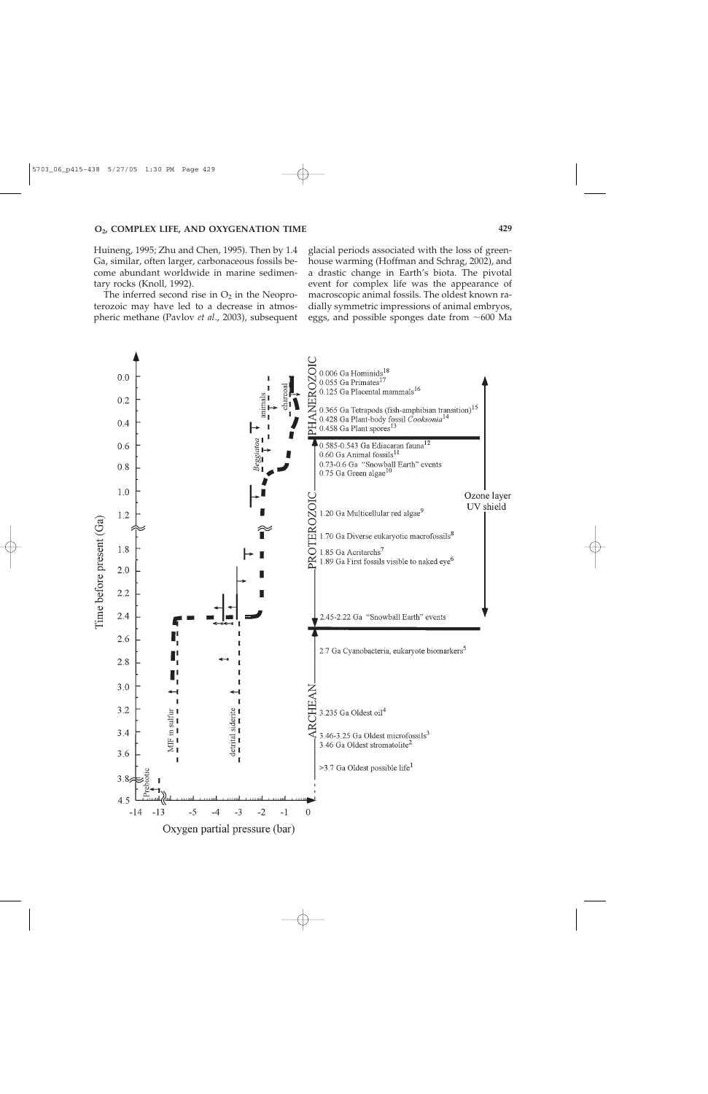Huineng, 1995; Zhu and Chen, 1995). Then by 1.4 Ga, similar, often larger, carbonaceous fossils become abundant worldwide in marine sedimentary rocks (Knoll, 1992).

The inferred second rise in  $O_2$  in the Neoproterozoic may have led to a decrease in atmospheric methane (Pavlov *et al*., 2003), subsequent glacial periods associated with the loss of greenhouse warming (Hoffman and Schrag, 2002), and a drastic change in Earth's biota. The pivotal event for complex life was the appearance of macroscopic animal fossils. The oldest known radially symmetric impressions of animal embryos, eggs, and possible sponges date from  $\sim 600$  Ma

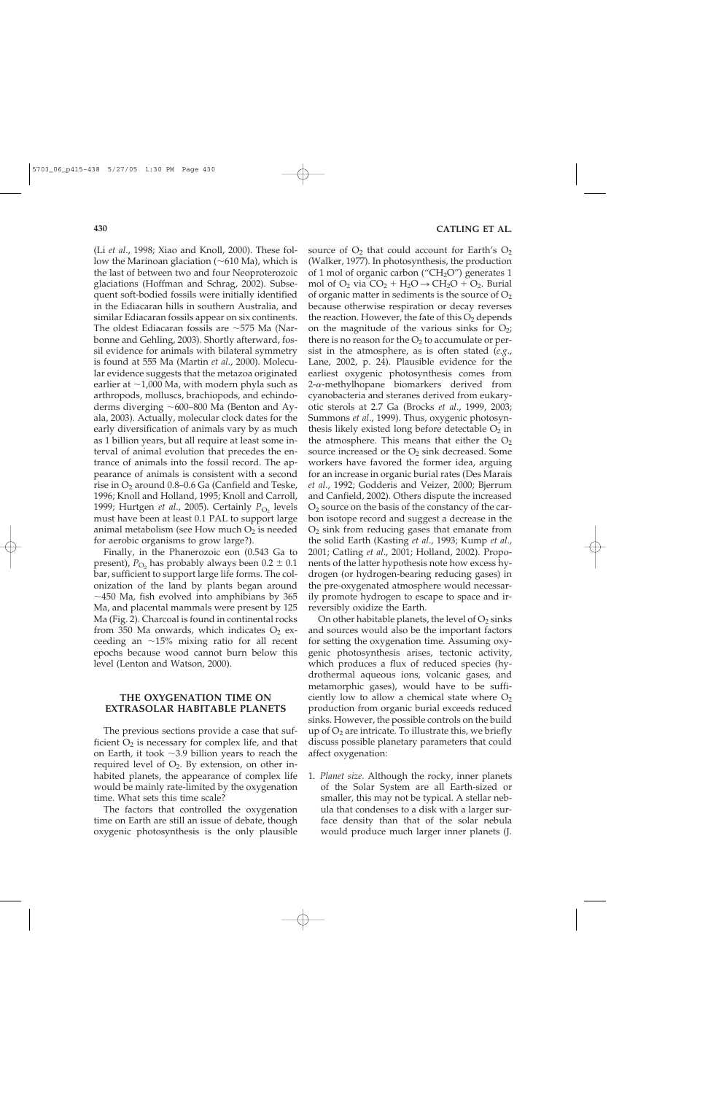(Li *et al*., 1998; Xiao and Knoll, 2000). These follow the Marinoan glaciation ( $\sim$ 610 Ma), which is the last of between two and four Neoproterozoic glaciations (Hoffman and Schrag, 2002). Subsequent soft-bodied fossils were initially identified in the Ediacaran hills in southern Australia, and similar Ediacaran fossils appear on six continents. The oldest Ediacaran fossils are  $\sim$ 575 Ma (Narbonne and Gehling, 2003). Shortly afterward, fossil evidence for animals with bilateral symmetry is found at 555 Ma (Martin *et al*., 2000). Molecular evidence suggests that the metazoa originated earlier at  $\sim$ 1,000 Ma, with modern phyla such as arthropods, molluscs, brachiopods, and echindoderms diverging  $\sim$  600–800 Ma (Benton and Ayala, 2003). Actually, molecular clock dates for the early diversification of animals vary by as much as 1 billion years, but all require at least some interval of animal evolution that precedes the entrance of animals into the fossil record. The appearance of animals is consistent with a second rise in  $O_2$  around 0.8–0.6 Ga (Canfield and Teske, 1996; Knoll and Holland, 1995; Knoll and Carroll, 1999; Hurtgen *et al.*, 2005). Certainly  $P_{\text{O}_2}$  levels must have been at least 0.1 PAL to support large animal metabolism (see How much  $O_2$  is needed for aerobic organisms to grow large?).

Finally, in the Phanerozoic eon (0.543 Ga to present),  $P_{\text{O}_2}$  has probably always been  $0.2 \pm 0.1$ bar, sufficient to support large life forms. The colonization of the land by plants began around  $\sim$ 450 Ma, fish evolved into amphibians by 365 Ma, and placental mammals were present by 125 Ma (Fig. 2). Charcoal is found in continental rocks from 350 Ma onwards, which indicates  $O_2$  exceeding an  $\sim$ 15% mixing ratio for all recent epochs because wood cannot burn below this level (Lenton and Watson, 2000).

# **THE OXYGENATION TIME ON EXTRASOLAR HABITABLE PLANETS**

The previous sections provide a case that sufficient  $O_2$  is necessary for complex life, and that on Earth, it took  $\sim$ 3.9 billion years to reach the required level of  $O_2$ . By extension, on other inhabited planets, the appearance of complex life would be mainly rate-limited by the oxygenation time. What sets this time scale?

The factors that controlled the oxygenation time on Earth are still an issue of debate, though oxygenic photosynthesis is the only plausible

source of  $O_2$  that could account for Earth's  $O_2$ (Walker, 1977). In photosynthesis, the production of 1 mol of organic carbon ("CH<sub>2</sub>O") generates 1 mol of  $O_2$  via  $CO_2 + H_2O \rightarrow CH_2O + O_2$ . Burial of organic matter in sediments is the source of  $O<sub>2</sub>$ because otherwise respiration or decay reverses the reaction. However, the fate of this  $O_2$  depends on the magnitude of the various sinks for  $O_2$ ; there is no reason for the  $O_2$  to accumulate or persist in the atmosphere, as is often stated (*e.g*., Lane, 2002, p. 24). Plausible evidence for the earliest oxygenic photosynthesis comes from  $2-\alpha$ -methylhopane biomarkers derived from cyanobacteria and steranes derived from eukaryotic sterols at 2.7 Ga (Brocks *et al*., 1999, 2003; Summons *et al*., 1999). Thus, oxygenic photosynthesis likely existed long before detectable  $O<sub>2</sub>$  in the atmosphere. This means that either the  $O<sub>2</sub>$ source increased or the  $O_2$  sink decreased. Some workers have favored the former idea, arguing for an increase in organic burial rates (Des Marais *et al*., 1992; Godderis and Veizer, 2000; Bjerrum and Canfield, 2002). Others dispute the increased  $O<sub>2</sub>$  source on the basis of the constancy of the carbon isotope record and suggest a decrease in the  $O<sub>2</sub>$  sink from reducing gases that emanate from the solid Earth (Kasting *et al*., 1993; Kump *et al*., 2001; Catling *et al*., 2001; Holland, 2002). Proponents of the latter hypothesis note how excess hydrogen (or hydrogen-bearing reducing gases) in the pre-oxygenated atmosphere would necessarily promote hydrogen to escape to space and irreversibly oxidize the Earth.

On other habitable planets, the level of  $O_2$  sinks and sources would also be the important factors for setting the oxygenation time. Assuming oxygenic photosynthesis arises, tectonic activity, which produces a flux of reduced species (hydrothermal aqueous ions, volcanic gases, and metamorphic gases), would have to be sufficiently low to allow a chemical state where  $O<sub>2</sub>$ production from organic burial exceeds reduced sinks. However, the possible controls on the build up of  $O_2$  are intricate. To illustrate this, we briefly discuss possible planetary parameters that could affect oxygenation:

1. *Planet size*. Although the rocky, inner planets of the Solar System are all Earth-sized or smaller, this may not be typical. A stellar nebula that condenses to a disk with a larger surface density than that of the solar nebula would produce much larger inner planets (J.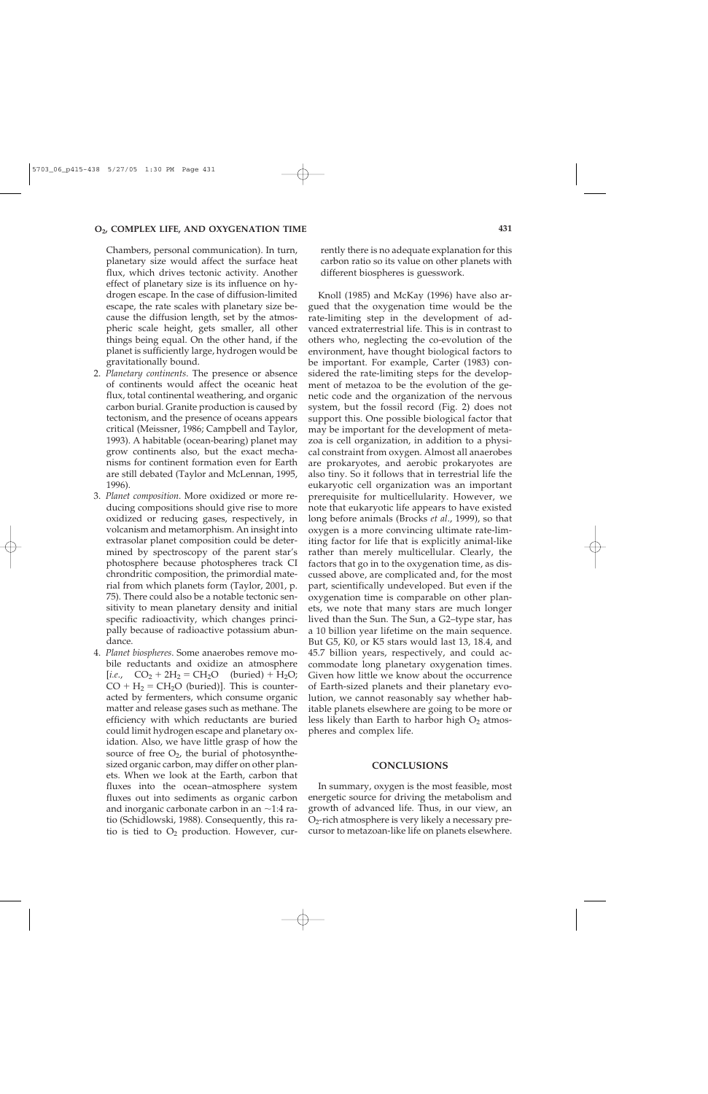Chambers, personal communication). In turn, planetary size would affect the surface heat flux, which drives tectonic activity. Another effect of planetary size is its influence on hydrogen escape. In the case of diffusion-limited escape, the rate scales with planetary size because the diffusion length, set by the atmospheric scale height, gets smaller, all other things being equal. On the other hand, if the planet is sufficiently large, hydrogen would be gravitationally bound.

- 2. *Planetary continents*. The presence or absence of continents would affect the oceanic heat flux, total continental weathering, and organic carbon burial. Granite production is caused by tectonism, and the presence of oceans appears critical (Meissner, 1986; Campbell and Taylor, 1993). A habitable (ocean-bearing) planet may grow continents also, but the exact mechanisms for continent formation even for Earth are still debated (Taylor and McLennan, 1995, 1996).
- 3. *Planet composition*. More oxidized or more reducing compositions should give rise to more oxidized or reducing gases, respectively, in volcanism and metamorphism. An insight into extrasolar planet composition could be determined by spectroscopy of the parent star's photosphere because photospheres track CI chrondritic composition, the primordial material from which planets form (Taylor, 2001, p. 75). There could also be a notable tectonic sensitivity to mean planetary density and initial specific radioactivity, which changes principally because of radioactive potassium abundance.
- 4. *Planet biospheres*. Some anaerobes remove mobile reductants and oxidize an atmosphere [*i.e.*,  $CO_2 + 2H_2 = CH_2O$  (buried) + H<sub>2</sub>O;  $CO + H_2 = CH_2O$  (buried)]. This is counteracted by fermenters, which consume organic matter and release gases such as methane. The efficiency with which reductants are buried could limit hydrogen escape and planetary oxidation. Also, we have little grasp of how the source of free  $O_2$ , the burial of photosynthesized organic carbon, may differ on other planets. When we look at the Earth, carbon that fluxes into the ocean–atmosphere system fluxes out into sediments as organic carbon and inorganic carbonate carbon in an  $\sim$ 1:4 ratio (Schidlowski, 1988). Consequently, this ratio is tied to  $O_2$  production. However, cur-

rently there is no adequate explanation for this carbon ratio so its value on other planets with different biospheres is guesswork.

Knoll (1985) and McKay (1996) have also argued that the oxygenation time would be the rate-limiting step in the development of advanced extraterrestrial life. This is in contrast to others who, neglecting the co-evolution of the environment, have thought biological factors to be important. For example, Carter (1983) considered the rate-limiting steps for the development of metazoa to be the evolution of the genetic code and the organization of the nervous system, but the fossil record (Fig. 2) does not support this. One possible biological factor that may be important for the development of metazoa is cell organization, in addition to a physical constraint from oxygen. Almost all anaerobes are prokaryotes, and aerobic prokaryotes are also tiny. So it follows that in terrestrial life the eukaryotic cell organization was an important prerequisite for multicellularity. However, we note that eukaryotic life appears to have existed long before animals (Brocks *et al*., 1999), so that oxygen is a more convincing ultimate rate-limiting factor for life that is explicitly animal-like rather than merely multicellular. Clearly, the factors that go in to the oxygenation time, as discussed above, are complicated and, for the most part, scientifically undeveloped. But even if the oxygenation time is comparable on other planets, we note that many stars are much longer lived than the Sun. The Sun, a G2–type star, has a 10 billion year lifetime on the main sequence. But G5, K0, or K5 stars would last 13, 18.4, and 45.7 billion years, respectively, and could accommodate long planetary oxygenation times. Given how little we know about the occurrence of Earth-sized planets and their planetary evolution, we cannot reasonably say whether habitable planets elsewhere are going to be more or less likely than Earth to harbor high  $O<sub>2</sub>$  atmospheres and complex life.

#### **CONCLUSIONS**

In summary, oxygen is the most feasible, most energetic source for driving the metabolism and growth of advanced life. Thus, in our view, an  $O<sub>2</sub>$ -rich atmosphere is very likely a necessary precursor to metazoan-like life on planets elsewhere.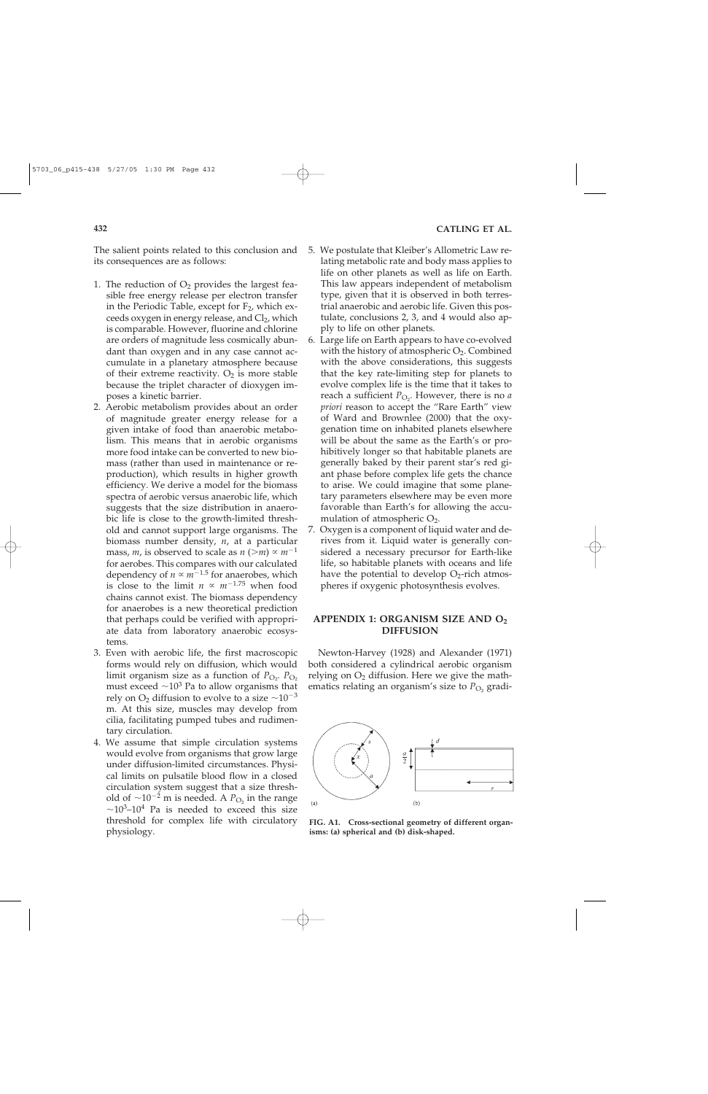The salient points related to this conclusion and its consequences are as follows:

- 1. The reduction of  $O_2$  provides the largest feasible free energy release per electron transfer in the Periodic Table, except for  $F_2$ , which exceeds oxygen in energy release, and Cl<sub>2</sub>, which is comparable. However, fluorine and chlorine are orders of magnitude less cosmically abundant than oxygen and in any case cannot accumulate in a planetary atmosphere because of their extreme reactivity.  $O_2$  is more stable because the triplet character of dioxygen imposes a kinetic barrier.
- 2. Aerobic metabolism provides about an order of magnitude greater energy release for a given intake of food than anaerobic metabolism. This means that in aerobic organisms more food intake can be converted to new biomass (rather than used in maintenance or reproduction), which results in higher growth efficiency. We derive a model for the biomass spectra of aerobic versus anaerobic life, which suggests that the size distribution in anaerobic life is close to the growth-limited threshold and cannot support large organisms. The biomass number density, *n*, at a particular mass, *m*, is observed to scale as  $n$  ( $>m$ )  $\propto$   $m^{-1}$ for aerobes. This compares with our calculated dependency of  $n \propto m^{-1.5}$  for anaerobes, which is close to the limit  $n \propto m^{-1.75}$  when food chains cannot exist. The biomass dependency for anaerobes is a new theoretical prediction that perhaps could be verified with appropriate data from laboratory anaerobic ecosystems.
- 3. Even with aerobic life, the first macroscopic forms would rely on diffusion, which would limit organism size as a function of  $P_{\text{O}_2}$ .  $P_{\text{O}_2}$ must exceed  $\sim 10^3$  Pa to allow organisms that rely on  $O_2$  diffusion to evolve to a size  $\sim$ 10<sup>-3</sup> m. At this size, muscles may develop from cilia, facilitating pumped tubes and rudimentary circulation.
- 4. We assume that simple circulation systems would evolve from organisms that grow large under diffusion-limited circumstances. Physical limits on pulsatile blood flow in a closed circulation system suggest that a size threshold of  $\sim 10^{-2}$  m is needed. A  $P_{\text{O}_2}$  in the range  $\sim$ 10<sup>3</sup>–10<sup>4</sup> Pa is needed to exceed this size threshold for complex life with circulatory physiology.
- 5. We postulate that Kleiber's Allometric Law relating metabolic rate and body mass applies to life on other planets as well as life on Earth. This law appears independent of metabolism type, given that it is observed in both terrestrial anaerobic and aerobic life. Given this postulate, conclusions 2, 3, and 4 would also apply to life on other planets.
- 6. Large life on Earth appears to have co-evolved with the history of atmospheric  $O_2$ . Combined with the above considerations, this suggests that the key rate-limiting step for planets to evolve complex life is the time that it takes to reach a sufficient  $P_{\text{O}_2}$ . However, there is no *a priori* reason to accept the "Rare Earth" view of Ward and Brownlee (2000) that the oxygenation time on inhabited planets elsewhere will be about the same as the Earth's or prohibitively longer so that habitable planets are generally baked by their parent star's red giant phase before complex life gets the chance to arise. We could imagine that some planetary parameters elsewhere may be even more favorable than Earth's for allowing the accumulation of atmospheric  $O_2$ .
- 7. Oxygen is a component of liquid water and derives from it. Liquid water is generally considered a necessary precursor for Earth-like life, so habitable planets with oceans and life have the potential to develop  $O<sub>2</sub>$ -rich atmospheres if oxygenic photosynthesis evolves.

## **APPENDIX 1: ORGANISM SIZE AND O2 DIFFUSION**

Newton-Harvey (1928) and Alexander (1971) both considered a cylindrical aerobic organism relying on  $O_2$  diffusion. Here we give the mathematics relating an organism's size to  $P_{\text{O}_2}$  gradi-



**FIG. A1. Cross-sectional geometry of different organisms: (a) spherical and (b) disk-shaped.**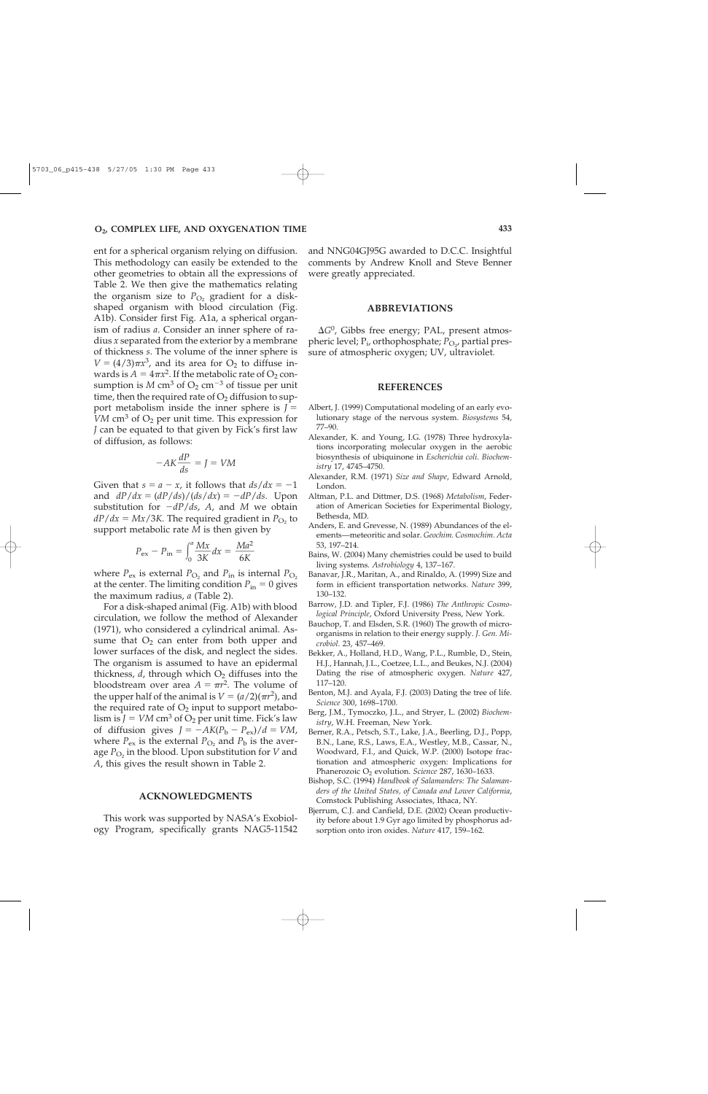ent for a spherical organism relying on diffusion. This methodology can easily be extended to the other geometries to obtain all the expressions of Table 2. We then give the mathematics relating the organism size to  $P_{\text{O}_2}$  gradient for a diskshaped organism with blood circulation (Fig. A1b). Consider first Fig. A1a, a spherical organism of radius *a*. Consider an inner sphere of radius *x* separated from the exterior by a membrane of thickness *s*. The volume of the inner sphere is  $V = (4/3)\pi x^3$ , and its area for O<sub>2</sub> to diffuse inwards is  $A = 4\pi x^2$ . If the metabolic rate of O<sub>2</sub> consumption is  $M \text{ cm}^3$  of  $\text{O}_2 \text{ cm}^{-3}$  of tissue per unit time, then the required rate of  $O_2$  diffusion to support metabolism inside the inner sphere is *J VM* cm<sup>3</sup> of  $O_2$  per unit time. This expression for *J* can be equated to that given by Fick's first law of diffusion, as follows:

$$
-AK\frac{dP}{ds} = J = VM
$$

Given that  $s = a - x$ , it follows that  $ds/dx = -1$ and  $dP/dx = (dP/ds)/(ds/dx) = -dP/ds$ . Upon substitution for -*dP*/*ds*, *A*, and *M* we obtain  $dP/dx = Mx/3K$ . The required gradient in  $P_{\text{O}_2}$  to support metabolic rate *M* is then given by

$$
P_{\text{ex}} - P_{\text{in}} = \int_0^a \frac{Mx}{3K} dx = \frac{Ma^2}{6K}
$$

where  $P_{\text{ex}}$  is external  $P_{\text{O}_2}$  and  $P_{\text{in}}$  is internal  $P_{\text{O}_2}$ at the center. The limiting condition  $P_{\text{in}} = 0$  gives the maximum radius, *a* (Table 2).

For a disk-shaped animal (Fig. A1b) with blood circulation, we follow the method of Alexander (1971), who considered a cylindrical animal. Assume that  $O_2$  can enter from both upper and lower surfaces of the disk, and neglect the sides. The organism is assumed to have an epidermal thickness,  $d$ , through which  $O<sub>2</sub>$  diffuses into the bloodstream over area  $A = \pi r^2$ . The volume of the upper half of the animal is  $V = (a/2)(\pi r^2)$ , and the required rate of  $O_2$  input to support metabolism is  $J = VM \text{ cm}^3$  of  $O_2$  per unit time. Fick's law of diffusion gives  $J = -AK(P_b - P_{ex})/d = VM$ , where  $P_{ex}$  is the external  $P_{O_2}$  and  $P_b$  is the average  $P_{\text{O}_2}$  in the blood. Upon substitution for *V* and *A*, this gives the result shown in Table 2.

#### **ACKNOWLEDGMENTS**

This work was supported by NASA's Exobiology Program, specifically grants NAG5-11542 and NNG04GJ95G awarded to D.C.C. Insightful comments by Andrew Knoll and Steve Benner were greatly appreciated.

#### **ABBREVIATIONS**

 $\Delta G^0$ , Gibbs free energy; PAL, present atmospheric level; P<sub>i</sub>, orthophosphate; P<sub>O2</sub>, partial pressure of atmospheric oxygen; UV, ultraviolet.

#### **REFERENCES**

- Albert, J. (1999) Computational modeling of an early evolutionary stage of the nervous system. *Biosystems* 54, 77–90.
- Alexander, K. and Young, I.G. (1978) Three hydroxylations incorporating molecular oxygen in the aerobic biosynthesis of ubiquinone in *Escherichia coli*. *Biochemistry* 17, 4745–4750.
- Alexander, R.M. (1971) *Size and Shape*, Edward Arnold, London.
- Altman, P.L. and Dittmer, D.S. (1968) *Metabolism*, Federation of American Societies for Experimental Biology, Bethesda, MD.
- Anders, E. and Grevesse, N. (1989) Abundances of the elements—meteoritic and solar. *Geochim. Cosmochim. Acta* 53, 197–214.
- Bains, W. (2004) Many chemistries could be used to build living systems. *Astrobiology* 4, 137–167.
- Banavar, J.R., Maritan, A., and Rinaldo, A. (1999) Size and form in efficient transportation networks. *Nature* 399, 130–132.
- Barrow, J.D. and Tipler, F.J. (1986) *The Anthropic Cosmological Principle*, Oxford University Press, New York.
- Bauchop, T. and Elsden, S.R. (1960) The growth of microorganisms in relation to their energy supply. *J. Gen. Microbiol*. 23, 457–469.
- Bekker, A., Holland, H.D., Wang, P.L., Rumble, D., Stein, H.J., Hannah, J.L., Coetzee, L.L., and Beukes, N.J. (2004) Dating the rise of atmospheric oxygen. *Nature* 427, 117–120.
- Benton, M.J. and Ayala, F.J. (2003) Dating the tree of life. *Science* 300, 1698–1700.
- Berg, J.M., Tymoczko, J.L., and Stryer, L. (2002) *Biochemistry*, W.H. Freeman, New York.
- Berner, R.A., Petsch, S.T., Lake, J.A., Beerling, D.J., Popp, B.N., Lane, R.S., Laws, E.A., Westley, M.B., Cassar, N., Woodward, F.I., and Quick, W.P. (2000) Isotope fractionation and atmospheric oxygen: Implications for Phanerozoic O2 evolution. *Science* 287, 1630–1633.
- Bishop, S.C. (1994) *Handbook of Salamanders: The Salamanders of the United States, of Canada and Lower California*, Comstock Publishing Associates, Ithaca, NY.
- Bjerrum, C.J. and Canfield, D.E. (2002) Ocean productivity before about 1.9 Gyr ago limited by phosphorus adsorption onto iron oxides. *Nature* 417, 159–162.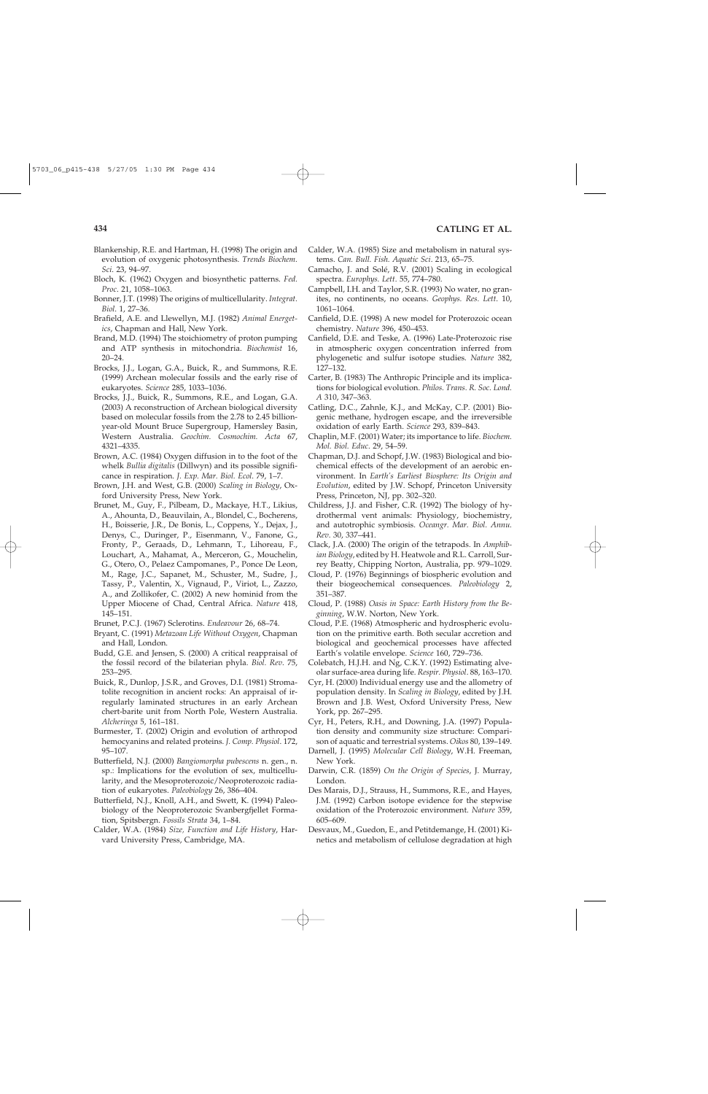- Blankenship, R.E. and Hartman, H. (1998) The origin and evolution of oxygenic photosynthesis. *Trends Biochem. Sci*. 23, 94–97.
- Bloch, K. (1962) Oxygen and biosynthetic patterns. *Fed. Proc*. 21, 1058–1063.
- Bonner, J.T. (1998) The origins of multicellularity. *Integrat. Biol*. 1, 27–36.
- Brafield, A.E. and Llewellyn, M.J. (1982) *Animal Energetics*, Chapman and Hall, New York.
- Brand, M.D. (1994) The stoichiometry of proton pumping and ATP synthesis in mitochondria. *Biochemist* 16, 20–24.
- Brocks, J.J., Logan, G.A., Buick, R., and Summons, R.E. (1999) Archean molecular fossils and the early rise of eukaryotes. *Science* 285, 1033–1036.
- Brocks, J.J., Buick, R., Summons, R.E., and Logan, G.A. (2003) A reconstruction of Archean biological diversity based on molecular fossils from the 2.78 to 2.45 billionyear-old Mount Bruce Supergroup, Hamersley Basin, Western Australia. *Geochim. Cosmochim. Acta* 67, 4321–4335.
- Brown, A.C. (1984) Oxygen diffusion in to the foot of the whelk *Bullia digitalis* (Dillwyn) and its possible significance in respiration. *J. Exp. Mar. Biol. Ecol*. 79, 1–7.
- Brown, J.H. and West, G.B. (2000) *Scaling in Biology*, Oxford University Press, New York.
- Brunet, M., Guy, F., Pilbeam, D., Mackaye, H.T., Likius, A., Ahounta, D., Beauvilain, A., Blondel, C., Bocherens, H., Boisserie, J.R., De Bonis, L., Coppens, Y., Dejax, J., Denys, C., Duringer, P., Eisenmann, V., Fanone, G., Fronty, P., Geraads, D., Lehmann, T., Lihoreau, F., Louchart, A., Mahamat, A., Merceron, G., Mouchelin, G., Otero, O., Pelaez Campomanes, P., Ponce De Leon, M., Rage, J.C., Sapanet, M., Schuster, M., Sudre, J., Tassy, P., Valentin, X., Vignaud, P., Viriot, L., Zazzo, A., and Zollikofer, C. (2002) A new hominid from the Upper Miocene of Chad, Central Africa. *Nature* 418, 145–151.
- Brunet, P.C.J. (1967) Sclerotins. *Endeavour* 26, 68–74.
- Bryant, C. (1991) *Metazoan Life Without Oxygen*, Chapman and Hall, London.
- Budd, G.E. and Jensen, S. (2000) A critical reappraisal of the fossil record of the bilaterian phyla. *Biol. Rev*. 75, 253–295.
- Buick, R., Dunlop, J.S.R., and Groves, D.I. (1981) Stromatolite recognition in ancient rocks: An appraisal of irregularly laminated structures in an early Archean chert-barite unit from North Pole, Western Australia. *Alcheringa* 5, 161–181.
- Burmester, T. (2002) Origin and evolution of arthropod hemocyanins and related proteins. *J. Comp. Physiol*. 172, 95–107.
- Butterfield, N.J. (2000) *Bangiomorpha pubescens* n. gen., n. sp.: Implications for the evolution of sex, multicellularity, and the Mesoproterozoic/Neoproterozoic radiation of eukaryotes. *Paleobiology* 26, 386–404.
- Butterfield, N.J., Knoll, A.H., and Swett, K. (1994) Paleobiology of the Neoproterozoic Svanbergfjellet Formation, Spitsbergn. *Fossils Strata* 34, 1–84.
- Calder, W.A. (1984) *Size, Function and Life History*, Harvard University Press, Cambridge, MA.
- Calder, W.A. (1985) Size and metabolism in natural systems. *Can. Bull. Fish. Aquatic Sci*. 213, 65–75.
- Camacho, J. and Solé, R.V. (2001) Scaling in ecological spectra. *Europhys. Lett*. 55, 774–780.
- Campbell, I.H. and Taylor, S.R. (1993) No water, no granites, no continents, no oceans. *Geophys. Res. Lett*. 10, 1061–1064.
- Canfield, D.E. (1998) A new model for Proterozoic ocean chemistry. *Nature* 396, 450–453.
- Canfield, D.E. and Teske, A. (1996) Late-Proterozoic rise in atmospheric oxygen concentration inferred from phylogenetic and sulfur isotope studies. *Nature* 382, 127–132.
- Carter, B. (1983) The Anthropic Principle and its implications for biological evolution. *Philos. Trans. R. Soc. Lond. A* 310, 347–363.
- Catling, D.C., Zahnle, K.J., and McKay, C.P. (2001) Biogenic methane, hydrogen escape, and the irreversible oxidation of early Earth. *Science* 293, 839–843.
- Chaplin, M.F. (2001) Water; its importance to life. *Biochem. Mol. Biol. Educ*. 29, 54–59.
- Chapman, D.J. and Schopf, J.W. (1983) Biological and biochemical effects of the development of an aerobic environment. In *Earth's Earliest Biosphere: Its Origin and Evolution*, edited by J.W. Schopf, Princeton University Press, Princeton, NJ, pp. 302–320.
- Childress, J.J. and Fisher, C.R. (1992) The biology of hydrothermal vent animals: Physiology, biochemistry, and autotrophic symbiosis. *Oceangr. Mar. Biol. Annu. Rev*. 30, 337–441.
- Clack, J.A. (2000) The origin of the tetrapods. In *Amphibian Biology*, edited by H. Heatwole and R.L. Carroll, Surrey Beatty, Chipping Norton, Australia, pp. 979–1029.
- Cloud, P. (1976) Beginnings of biospheric evolution and their biogeochemical consequences. *Paleobiology* 2, 351–387.
- Cloud, P. (1988) *Oasis in Space: Earth History from the Beginning*, W.W. Norton, New York.
- Cloud, P.E. (1968) Atmospheric and hydrospheric evolution on the primitive earth. Both secular accretion and biological and geochemical processes have affected Earth's volatile envelope. *Science* 160, 729–736.
- Colebatch, H.J.H. and Ng, C.K.Y. (1992) Estimating alveolar surface-area during life. *Respir. Physiol*. 88, 163–170.
- Cyr, H. (2000) Individual energy use and the allometry of population density. In *Scaling in Biology*, edited by J.H. Brown and J.B. West, Oxford University Press, New York, pp. 267–295.
- Cyr, H., Peters, R.H., and Downing, J.A. (1997) Population density and community size structure: Comparison of aquatic and terrestrial systems. *Oikos* 80, 139–149.
- Darnell, J. (1995) *Molecular Cell Biology*, W.H. Freeman, New York.
- Darwin, C.R. (1859) *On the Origin of Species*, J. Murray, London.
- Des Marais, D.J., Strauss, H., Summons, R.E., and Hayes, J.M. (1992) Carbon isotope evidence for the stepwise oxidation of the Proterozoic environment. *Nature* 359, 605–609.
- Desvaux, M., Guedon, E., and Petitdemange, H. (2001) Kinetics and metabolism of cellulose degradation at high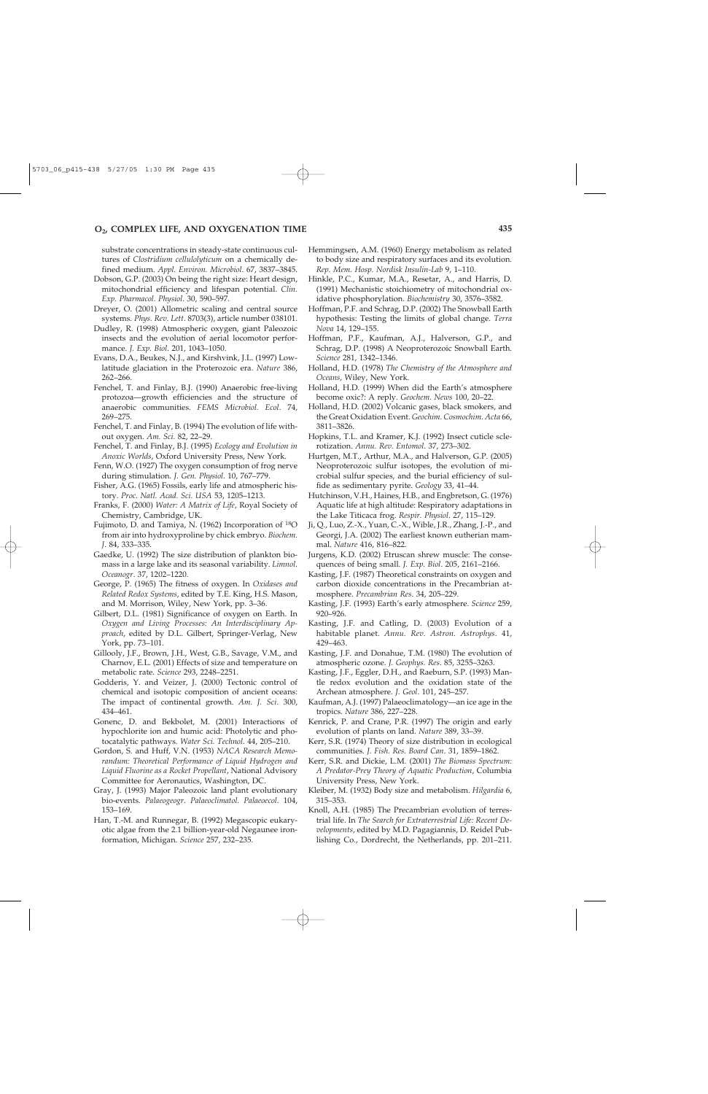### **O2, COMPLEX LIFE, AND OXYGENATION TIME 435**

substrate concentrations in steady-state continuous cultures of *Clostridium cellulolyticum* on a chemically defined medium. *Appl. Environ. Microbiol*. 67, 3837–3845.

- Dobson, G.P. (2003) On being the right size: Heart design, mitochondrial efficiency and lifespan potential. *Clin. Exp. Pharmacol. Physiol*. 30, 590–597.
- Dreyer, O. (2001) Allometric scaling and central source systems. *Phys. Rev. Lett*. 8703(3), article number 038101.
- Dudley, R. (1998) Atmospheric oxygen, giant Paleozoic insects and the evolution of aerial locomotor performance. *J. Exp. Biol*. 201, 1043–1050.
- Evans, D.A., Beukes, N.J., and Kirshvink, J.L. (1997) Lowlatitude glaciation in the Proterozoic era. *Nature* 386, 262–266.
- Fenchel, T. and Finlay, B.J. (1990) Anaerobic free-living protozoa—growth efficiencies and the structure of anaerobic communities. *FEMS Microbiol. Ecol*. 74, 269–275.
- Fenchel, T. and Finlay, B. (1994) The evolution of life without oxygen. *Am. Sci*. 82, 22–29.
- Fenchel, T. and Finlay, B.J. (1995) *Ecology and Evolution in Anoxic Worlds*, Oxford University Press, New York.
- Fenn, W.O. (1927) The oxygen consumption of frog nerve during stimulation. *J. Gen. Physiol*. 10, 767–779.
- Fisher, A.G. (1965) Fossils, early life and atmospheric history. *Proc. Natl. Acad. Sci. USA* 53, 1205–1213.
- Franks, F. (2000) *Water: A Matrix of Life*, Royal Society of Chemistry, Cambridge, UK.
- Fujimoto, D. and Tamiya, N. (1962) Incorporation of 18O from air into hydroxyproline by chick embryo. *Biochem. J*. 84, 333–335.
- Gaedke, U. (1992) The size distribution of plankton biomass in a large lake and its seasonal variability. *Limnol. Oceanogr*. 37, 1202–1220.
- George, P. (1965) The fitness of oxygen. In *Oxidases and Related Redox Systems*, edited by T.E. King, H.S. Mason, and M. Morrison, Wiley, New York, pp. 3–36.
- Gilbert, D.L. (1981) Significance of oxygen on Earth. In *Oxygen and Living Processes: An Interdisciplinary Approach*, edited by D.L. Gilbert, Springer-Verlag, New York, pp. 73–101.
- Gillooly, J.F., Brown, J.H., West, G.B., Savage, V.M., and Charnov, E.L. (2001) Effects of size and temperature on metabolic rate. *Science* 293, 2248–2251.
- Godderis, Y. and Veizer, J. (2000) Tectonic control of chemical and isotopic composition of ancient oceans: The impact of continental growth. *Am. J. Sci*. 300, 434–461.
- Gonenc, D. and Bekbolet, M. (2001) Interactions of hypochlorite ion and humic acid: Photolytic and photocatalytic pathways. *Water Sci. Technol*. 44, 205–210.
- Gordon, S. and Huff, V.N. (1953) *NACA Research Memorandum: Theoretical Performance of Liquid Hydrogen and Liquid Fluorine as a Rocket Propellant*, National Advisory Committee for Aeronautics, Washington, DC.
- Gray, J. (1993) Major Paleozoic land plant evolutionary bio-events. *Palaeogeogr. Palaeoclimatol. Palaeoecol*. 104, 153–169.
- Han, T.-M. and Runnegar, B. (1992) Megascopic eukaryotic algae from the 2.1 billion-year-old Negaunee ironformation, Michigan. *Science* 257, 232–235.
- Hemmingsen, A.M. (1960) Energy metabolism as related to body size and respiratory surfaces and its evolution. *Rep. Mem. Hosp. Nordisk Insulin-Lab* 9, 1–110.
- Hinkle, P.C., Kumar, M.A., Resetar, A., and Harris, D. (1991) Mechanistic stoichiometry of mitochondrial oxidative phosphorylation. *Biochemistry* 30, 3576–3582.
- Hoffman, P.F. and Schrag, D.P. (2002) The Snowball Earth hypothesis: Testing the limits of global change. *Terra Nova* 14, 129–155.
- Hoffman, P.F., Kaufman, A.J., Halverson, G.P., and Schrag, D.P. (1998) A Neoproterozoic Snowball Earth. *Science* 281, 1342–1346.
- Holland, H.D. (1978) *The Chemistry of the Atmosphere and Oceans*, Wiley, New York.
- Holland, H.D. (1999) When did the Earth's atmosphere become oxic?: A reply. *Geochem. News* 100, 20–22.
- Holland, H.D. (2002) Volcanic gases, black smokers, and the Great Oxidation Event. *Geochim. Cosmochim. Acta* 66, 3811–3826.
- Hopkins, T.L. and Kramer, K.J. (1992) Insect cuticle sclerotization. *Annu. Rev. Entomol*. 37, 273–302.
- Hurtgen, M.T., Arthur, M.A., and Halverson, G.P. (2005) Neoproterozoic sulfur isotopes, the evolution of microbial sulfur species, and the burial efficiency of sulfide as sedimentary pyrite. *Geology* 33, 41–44.
- Hutchinson, V.H., Haines, H.B., and Engbretson, G. (1976) Aquatic life at high altitude: Respiratory adaptations in the Lake Titicaca frog. *Respir. Physiol*. 27, 115–129.
- Ji, Q., Luo, Z.-X., Yuan, C.-X., Wible, J.R., Zhang, J.-P., and Georgi, J.A. (2002) The earliest known eutherian mammal. *Nature* 416, 816–822.
- Jurgens, K.D. (2002) Etruscan shrew muscle: The consequences of being small. *J. Exp. Biol*. 205, 2161–2166.
- Kasting, J.F. (1987) Theoretical constraints on oxygen and carbon dioxide concentrations in the Precambrian atmosphere. *Precambrian Res*. 34, 205–229.
- Kasting, J.F. (1993) Earth's early atmosphere. *Science* 259, 920–926.
- Kasting, J.F. and Catling, D. (2003) Evolution of a habitable planet. *Annu. Rev. Astron. Astrophys*. 41, 429–463.
- Kasting, J.F. and Donahue, T.M. (1980) The evolution of atmospheric ozone. *J. Geophys. Res*. 85, 3255–3263.
- Kasting, J.F., Eggler, D.H., and Raeburn, S.P. (1993) Mantle redox evolution and the oxidation state of the Archean atmosphere. *J. Geol*. 101, 245–257.
- Kaufman, A.J. (1997) Palaeoclimatology—an ice age in the tropics. *Nature* 386, 227–228.
- Kenrick, P. and Crane, P.R. (1997) The origin and early evolution of plants on land. *Nature* 389, 33–39.
- Kerr, S.R. (1974) Theory of size distribution in ecological communities. *J. Fish. Res. Board Can*. 31, 1859–1862.
- Kerr, S.R. and Dickie, L.M. (2001) *The Biomass Spectrum: A Predator-Prey Theory of Aquatic Production*, Columbia University Press, New York.
- Kleiber, M. (1932) Body size and metabolism. *Hilgardia* 6, 315–353.
- Knoll, A.H. (1985) The Precambrian evolution of terrestrial life. In *The Search for Extraterrestrial Life: Recent Developments*, edited by M.D. Pagagiannis, D. Reidel Publishing Co., Dordrecht, the Netherlands, pp. 201–211.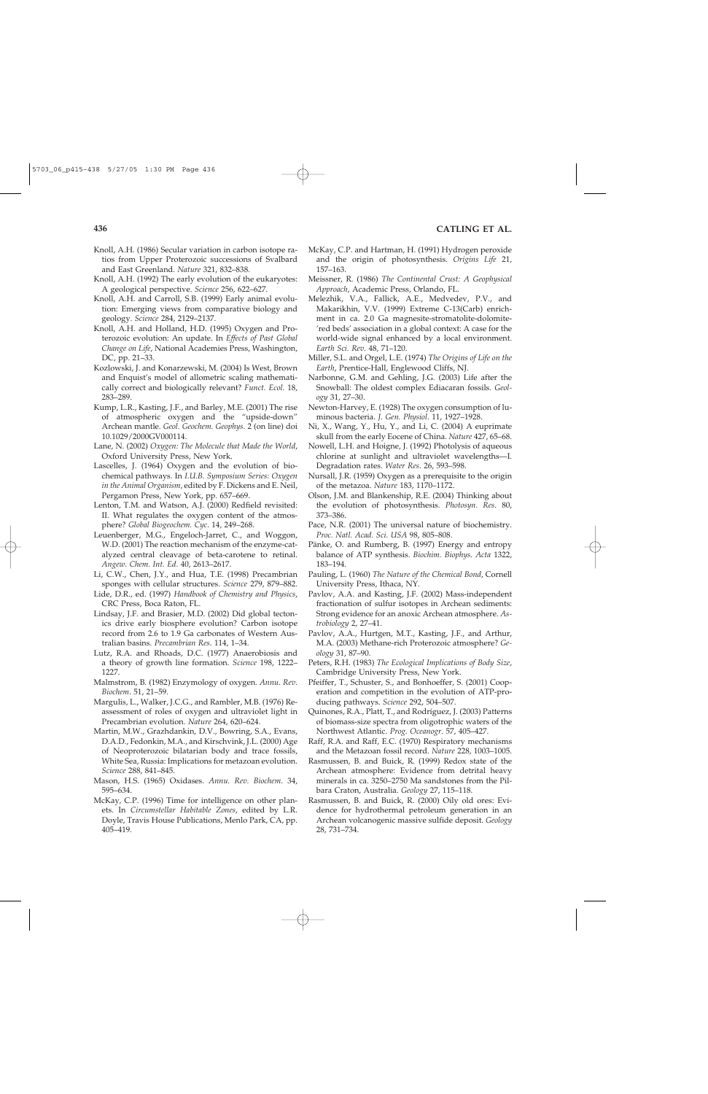- Knoll, A.H. (1986) Secular variation in carbon isotope ratios from Upper Proterozoic successions of Svalbard and East Greenland. *Nature* 321, 832–838.
- Knoll, A.H. (1992) The early evolution of the eukaryotes: A geological perspective. *Science* 256, 622–627.
- Knoll, A.H. and Carroll, S.B. (1999) Early animal evolution: Emerging views from comparative biology and geology. *Science* 284, 2129–2137.
- Knoll, A.H. and Holland, H.D. (1995) Oxygen and Proterozoic evolution: An update. In *Effects of Past Global Change on Life*, National Academies Press, Washington, DC, pp. 21–33.
- Kozlowski, J. and Konarzewski, M. (2004) Is West, Brown and Enquist's model of allometric scaling mathematically correct and biologically relevant? *Funct. Ecol*. 18, 283–289.
- Kump, L.R., Kasting, J.F., and Barley, M.E. (2001) The rise of atmospheric oxygen and the "upside-down" Archean mantle. *Geol. Geochem. Geophys*. 2 (on line) doi 10.1029/2000GV000114.
- Lane, N. (2002) *Oxygen: The Molecule that Made the World*, Oxford University Press, New York.
- Lascelles, J. (1964) Oxygen and the evolution of biochemical pathways. In *I.U.B. Symposium Series: Oxygen in the Animal Organism*, edited by F. Dickens and E. Neil, Pergamon Press, New York, pp. 657–669.
- Lenton, T.M. and Watson, A.J. (2000) Redfield revisited: II. What regulates the oxygen content of the atmosphere? *Global Biogeochem. Cyc*. 14, 249–268.
- Leuenberger, M.G., Engeloch-Jarret, C., and Woggon, W.D. (2001) The reaction mechanism of the enzyme-catalyzed central cleavage of beta-carotene to retinal. *Angew. Chem. Int. Ed*. 40, 2613–2617.
- Li, C.W., Chen, J.Y., and Hua, T.E. (1998) Precambrian sponges with cellular structures. *Science* 279, 879–882.
- Lide, D.R., ed. (1997) *Handbook of Chemistry and Physics*, CRC Press, Boca Raton, FL.
- Lindsay, J.F. and Brasier, M.D. (2002) Did global tectonics drive early biosphere evolution? Carbon isotope record from 2.6 to 1.9 Ga carbonates of Western Australian basins. *Precambrian Res*. 114, 1–34.
- Lutz, R.A. and Rhoads, D.C. (1977) Anaerobiosis and a theory of growth line formation. *Science* 198, 1222– 1227.
- Malmstrom, B. (1982) Enzymology of oxygen. *Annu. Rev. Biochem*. 51, 21–59.
- Margulis, L., Walker, J.C.G., and Rambler, M.B. (1976) Reassessment of roles of oxygen and ultraviolet light in Precambrian evolution. *Nature* 264, 620–624.
- Martin, M.W., Grazhdankin, D.V., Bowring, S.A., Evans, D.A.D., Fedonkin, M.A., and Kirschvink, J.L. (2000) Age of Neoproterozoic bilatarian body and trace fossils, White Sea, Russia: Implications for metazoan evolution. *Science* 288, 841–845.
- Mason, H.S. (1965) Oxidases. *Annu. Rev. Biochem*. 34, 595–634.
- McKay, C.P. (1996) Time for intelligence on other planets. In *Circumstellar Habitable Zones*, edited by L.R. Doyle, Travis House Publications, Menlo Park, CA, pp. 405–419.
- McKay, C.P. and Hartman, H. (1991) Hydrogen peroxide and the origin of photosynthesis. *Origins Life* 21, 157–163.
- Meissner, R. (1986) *The Continental Crust: A Geophysical Approach*, Academic Press, Orlando, FL.
- Melezhik, V.A., Fallick, A.E., Medvedev, P.V., and Makarikhin, V.V. (1999) Extreme C-13(Carb) enrichment in ca. 2.0 Ga magnesite-stromatolite-dolomite- 'red beds' association in a global context: A case for the world-wide signal enhanced by a local environment. *Earth Sci. Rev*. 48, 71–120.
- Miller, S.L. and Orgel, L.E. (1974) *The Origins of Life on the Earth*, Prentice-Hall, Englewood Cliffs, NJ.
- Narbonne, G.M. and Gehling, J.G. (2003) Life after the Snowball: The oldest complex Ediacaran fossils. *Geology* 31, 27–30.
- Newton-Harvey, E. (1928) The oxygen consumption of luminous bacteria. *J. Gen. Physiol*. 11, 1927–1928.
- Ni, X., Wang, Y., Hu, Y., and Li, C. (2004) A euprimate skull from the early Eocene of China. *Nature* 427, 65–68.
- Nowell, L.H. and Hoigne, J. (1992) Photolysis of aqueous chlorine at sunlight and ultraviolet wavelengths—I. Degradation rates. *Water Res*. 26, 593–598.
- Nursall, J.R. (1959) Oxygen as a prerequisite to the origin of the metazoa. *Nature* 183, 1170–1172.
- Olson, J.M. and Blankenship, R.E. (2004) Thinking about the evolution of photosynthesis. *Photosyn. Res*. 80, 373–386.
- Pace, N.R. (2001) The universal nature of biochemistry. *Proc. Natl. Acad. Sci. USA* 98, 805–808.
- Pänke, O. and Rumberg, B. (1997) Energy and entropy balance of ATP synthesis. *Biochim. Biophys. Acta* 1322, 183–194.
- Pauling, L. (1960) *The Nature of the Chemical Bond*, Cornell University Press, Ithaca, NY.
- Pavlov, A.A. and Kasting, J.F. (2002) Mass-independent fractionation of sulfur isotopes in Archean sediments: Strong evidence for an anoxic Archean atmosphere. *Astrobiology* 2, 27–41.
- Pavlov, A.A., Hurtgen, M.T., Kasting, J.F., and Arthur, M.A. (2003) Methane-rich Proterozoic atmosphere? *Geology* 31, 87–90.
- Peters, R.H. (1983) *The Ecological Implications of Body Size*, Cambridge University Press, New York.
- Pfeiffer, T., Schuster, S., and Bonhoeffer, S. (2001) Cooperation and competition in the evolution of ATP-producing pathways. *Science* 292, 504–507.
- Quinones, R.A., Platt, T., and Rodríguez, J. (2003) Patterns of biomass-size spectra from oligotrophic waters of the Northwest Atlantic. *Prog. Oceanogr*. 57, 405–427.
- Raff, R.A. and Raff, E.C. (1970) Respiratory mechanisms and the Metazoan fossil record. *Nature* 228, 1003–1005.
- Rasmussen, B. and Buick, R. (1999) Redox state of the Archean atmosphere: Evidence from detrital heavy minerals in ca. 3250–2750 Ma sandstones from the Pilbara Craton, Australia. *Geology* 27, 115–118.
- Rasmussen, B. and Buick, R. (2000) Oily old ores: Evidence for hydrothermal petroleum generation in an Archean volcanogenic massive sulfide deposit. *Geology* 28, 731–734.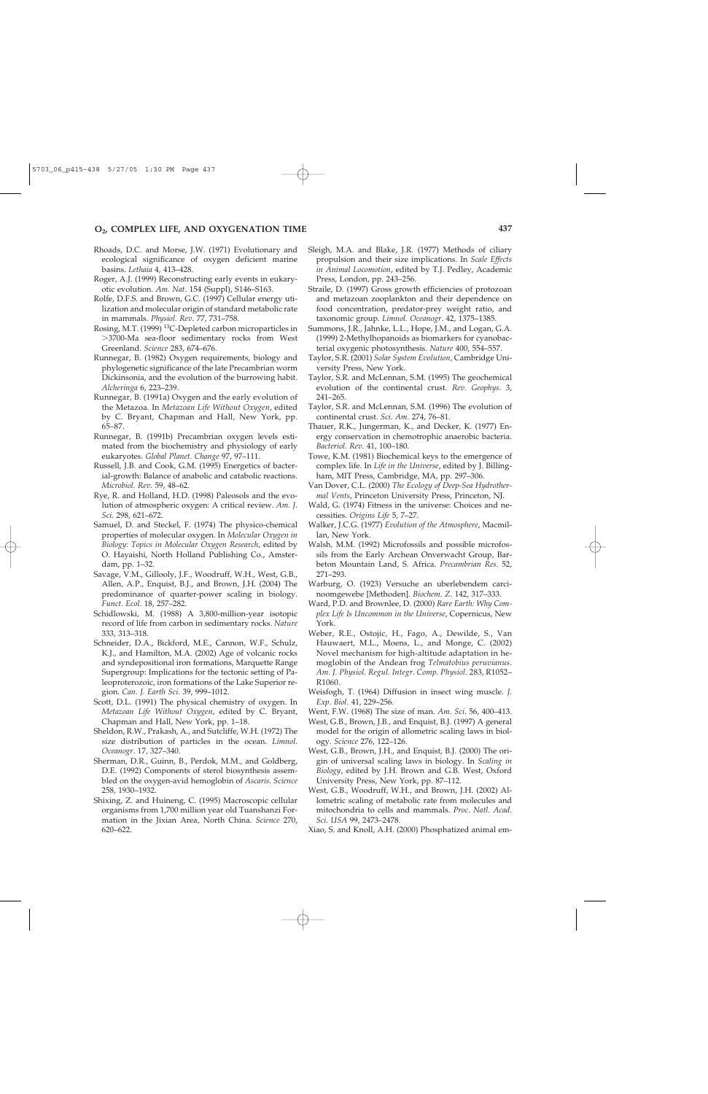## **O2, COMPLEX LIFE, AND OXYGENATION TIME 437**

- Rhoads, D.C. and Morse, J.W. (1971) Evolutionary and ecological significance of oxygen deficient marine basins. *Lethaia* 4, 413–428.
- Roger, A.J. (1999) Reconstructing early events in eukaryotic evolution. *Am. Nat*. 154 (Suppl), S146–S163.
- Rolfe, D.F.S. and Brown, G.C. (1997) Cellular energy utilization and molecular origin of standard metabolic rate in mammals. *Physiol. Rev*. 77, 731–758.
- Rosing, M.T. (1999) 13C-Depleted carbon microparticles in 3700-Ma sea-floor sedimentary rocks from West Greenland. *Science* 283, 674–676.
- Runnegar, B. (1982) Oxygen requirements, biology and phylogenetic significance of the late Precambrian worm Dickinsonia, and the evolution of the burrowing habit. *Alcheringa* 6, 223–239.
- Runnegar, B. (1991a) Oxygen and the early evolution of the Metazoa. In *Metazoan Life Without Oxygen*, edited by C. Bryant, Chapman and Hall, New York, pp. 65–87.
- Runnegar, B. (1991b) Precambrian oxygen levels estimated from the biochemistry and physiology of early eukaryotes. *Global Planet. Change* 97, 97–111.
- Russell, J.B. and Cook, G.M. (1995) Energetics of bacterial-growth: Balance of anabolic and catabolic reactions. *Microbiol. Rev*. 59, 48–62.
- Rye, R. and Holland, H.D. (1998) Paleosols and the evolution of atmospheric oxygen: A critical review. *Am. J. Sci*. 298, 621–672.
- Samuel, D. and Steckel, F. (1974) The physico-chemical properties of molecular oxygen. In *Molecular Oxygen in Biology: Topics in Molecular Oxygen Research*, edited by O. Hayaishi, North Holland Publishing Co., Amsterdam, pp. 1–32.
- Savage, V.M., Gillooly, J.F., Woodruff, W.H., West, G.B., Allen, A.P., Enquist, B.J., and Brown, J.H. (2004) The predominance of quarter-power scaling in biology. *Funct. Ecol*. 18, 257–282.
- Schidlowski, M. (1988) A 3,800-million-year isotopic record of life from carbon in sedimentary rocks. *Nature* 333, 313–318.
- Schneider, D.A., Bickford, M.E., Cannon, W.F., Schulz, K.J., and Hamilton, M.A. (2002) Age of volcanic rocks and syndepositional iron formations, Marquette Range Supergroup: Implications for the tectonic setting of Paleoproterozoic, iron formations of the Lake Superior region. *Can. J. Earth Sci*. 39, 999–1012.
- Scott, D.L. (1991) The physical chemistry of oxygen. In *Metazoan Life Without Oxygen*, edited by C. Bryant, Chapman and Hall, New York, pp. 1–18.
- Sheldon, R.W., Prakash, A., and Sutcliffe, W.H. (1972) The size distribution of particles in the ocean. *Limnol. Oceanogr*. 17, 327–340.
- Sherman, D.R., Guinn, B., Perdok, M.M., and Goldberg, D.E. (1992) Components of sterol biosynthesis assembled on the oxygen-avid hemoglobin of *Ascaris*. *Science* 258, 1930–1932.
- Shixing, Z. and Huineng, C. (1995) Macroscopic cellular organisms from 1,700 million year old Tuanshanzi Formation in the Jixian Area, North China. *Science* 270, 620–622.
- Sleigh, M.A. and Blake, J.R. (1977) Methods of ciliary propulsion and their size implications. In *Scale Effects in Animal Locomotion*, edited by T.J. Pedley, Academic Press, London, pp. 243–256.
- Straile, D. (1997) Gross growth efficiencies of protozoan and metazoan zooplankton and their dependence on food concentration, predator-prey weight ratio, and taxonomic group. *Limnol. Oceanogr*. 42, 1375–1385.
- Summons, J.R., Jahnke, L.L., Hope, J.M., and Logan, G.A. (1999) 2-Methylhopanoids as biomarkers for cyanobacterial oxygenic photosynthesis. *Nature* 400, 554–557.
- Taylor, S.R. (2001) *Solar System Evolution*, Cambridge University Press, New York.
- Taylor, S.R. and McLennan, S.M. (1995) The geochemical evolution of the continental crust. *Rev. Geophys*. 3, 241–265.
- Taylor, S.R. and McLennan, S.M. (1996) The evolution of continental crust. *Sci. Am*. 274, 76–81.
- Thauer, R.K., Jungerman, K., and Decker, K. (1977) Energy conservation in chemotrophic anaerobic bacteria. *Bacteriol. Rev*. 41, 100–180.
- Towe, K.M. (1981) Biochemical keys to the emergence of complex life. In *Life in the Universe*, edited by J. Billingham, MIT Press, Cambridge, MA, pp. 297–306.
- Van Dover, C.L. (2000) *The Ecology of Deep-Sea Hydrothermal Vents*, Princeton University Press, Princeton, NJ.
- Wald, G. (1974) Fitness in the universe: Choices and necessities. *Origins Life* 5, 7–27.
- Walker, J.C.G. (1977) *Evolution of the Atmosphere*, Macmillan, New York.
- Walsh, M.M. (1992) Microfossils and possible microfossils from the Early Archean Onverwacht Group, Barbeton Mountain Land, S. Africa. *Precambrian Res*. 52, 271–293.
- Warburg, O. (1923) Versuche an uberlebendem carcinoomgewebe [Methoden]. *Biochem. Z*. 142, 317–333.
- Ward, P.D. and Brownlee, D. (2000) *Rare Earth: Why Complex Life Is Uncommon in the Universe*, Copernicus, New York.
- Weber, R.E., Ostojic, H., Fago, A., Dewilde, S., Van Hauwaert, M.L., Moens, L., and Monge, C. (2002) Novel mechanism for high-altitude adaptation in hemoglobin of the Andean frog *Telmatobius peruvianus*. *Am. J. Physiol. Regul. Integr. Comp. Physiol*. 283, R1052– R1060.
- Weisfogh, T. (1964) Diffusion in insect wing muscle. *J. Exp. Biol*. 41, 229–256.
- Went, F.W. (1968) The size of man. *Am. Sci*. 56, 400–413.
- West, G.B., Brown, J.B., and Enquist, B.J. (1997) A general model for the origin of allometric scaling laws in biology. *Science* 276, 122–126.
- West, G.B., Brown, J.H., and Enquist, B.J. (2000) The origin of universal scaling laws in biology. In *Scaling in Biology*, edited by J.H. Brown and G.B. West, Oxford University Press, New York, pp. 87–112.
- West, G.B., Woodruff, W.H., and Brown, J.H. (2002) Allometric scaling of metabolic rate from molecules and mitochondria to cells and mammals. *Proc. Natl. Acad. Sci. USA* 99, 2473–2478.
- Xiao, S. and Knoll, A.H. (2000) Phosphatized animal em-